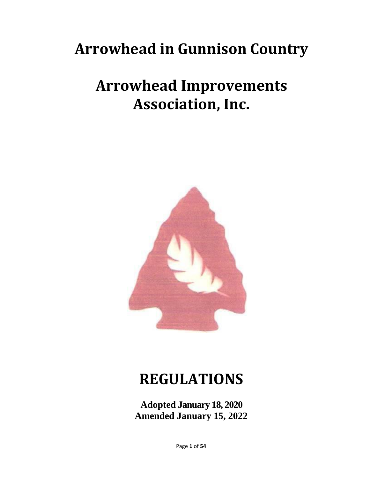# **Arrowhead in Gunnison Country**

# **Arrowhead Improvements Association, Inc.**



# **REGULATIONS**

**Adopted January 18, 2020 Amended January 15, 2022**

Page **1** of **54**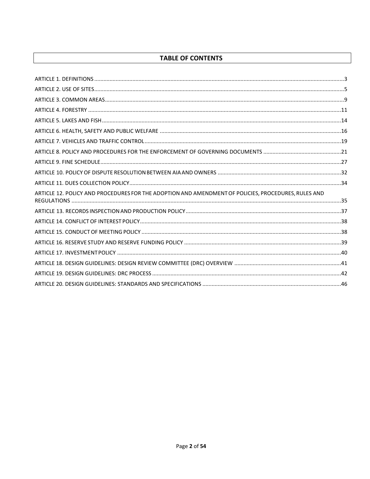## **TABLE OF CONTENTS**

| ARTICLE 12. POLICY AND PROCEDURES FOR THE ADOPTION AND AMENDMENT OF POLICIES, PROCEDURES, RULES AND |  |
|-----------------------------------------------------------------------------------------------------|--|
|                                                                                                     |  |
|                                                                                                     |  |
|                                                                                                     |  |
|                                                                                                     |  |
|                                                                                                     |  |
|                                                                                                     |  |
|                                                                                                     |  |
|                                                                                                     |  |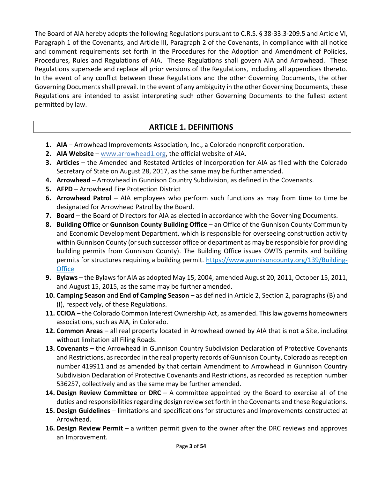The Board of AIA hereby adopts the following Regulations pursuant to C.R.S. § 38-33.3-209.5 and Article VI, Paragraph 1 of the Covenants, and Article III, Paragraph 2 of the Covenants, in compliance with all notice and comment requirements set forth in the Procedures for the Adoption and Amendment of Policies, Procedures, Rules and Regulations of AIA. These Regulations shall govern AIA and Arrowhead. These Regulations supersede and replace all prior versions of the Regulations, including all appendices thereto. In the event of any conflict between these Regulations and the other Governing Documents, the other Governing Documents shall prevail. In the event of any ambiguity in the other Governing Documents, these Regulations are intended to assist interpreting such other Governing Documents to the fullest extent permitted by law.

# **ARTICLE 1. DEFINITIONS**

- <span id="page-2-0"></span>**1. AIA** – Arrowhead Improvements Association, Inc., a Colorado nonprofit corporation.
- **2. AIA Website** [www.arrowhead1.org,](http://www.arrowhead1.org/) the official website of AIA.
- **3. Articles** the Amended and Restated Articles of Incorporation for AIA as filed with the Colorado Secretary of State on August 28, 2017, as the same may be further amended.
- **4. Arrowhead**  Arrowhead in Gunnison Country Subdivision, as defined in the Covenants.
- **5. AFPD** Arrowhead Fire Protection District
- **6. Arrowhead Patrol** AIA employees who perform such functions as may from time to time be designated for Arrowhead Patrol by the Board.
- **7. Board** the Board of Directors for AIA as elected in accordance with the Governing Documents.
- **8. Building Office** or **Gunnison County Building Office** an Office of the Gunnison County Community and Economic Development Department, which is responsible for overseeing construction activity within Gunnison County (or such successor office or department as may be responsible for providing building permits from Gunnison County). The Building Office issues OWTS permits and building permits for structures requiring a building permit. [https://www.gunnisoncounty.org/139/Building-](https://www.gunnisoncounty.org/139/Building-Office)**[Office](https://www.gunnisoncounty.org/139/Building-Office)**
- **9. Bylaws** the Bylaws for AIA as adopted May 15, 2004, amended August 20, 2011, October 15, 2011, and August 15, 2015, as the same may be further amended.
- **10. Camping Season** and **End of Camping Season** as defined in Article 2, Section 2, paragraphs (B) and (I), respectively, of these Regulations.
- **11. CCIOA** the Colorado Common Interest Ownership Act, as amended. This law governs homeowners associations, such as AIA, in Colorado.
- **12. Common Areas** all real property located in Arrowhead owned by AIA that is not a Site, including without limitation all Filing Roads.
- **13. Covenants** the Arrowhead in Gunnison Country Subdivision Declaration of Protective Covenants and Restrictions, as recorded in the real property records of Gunnison County, Colorado as reception number 419911 and as amended by that certain Amendment to Arrowhead in Gunnison Country Subdivision Declaration of Protective Covenants and Restrictions, as recorded as reception number 536257, collectively and as the same may be further amended.
- **14. Design Review Committee** or **DRC** A committee appointed by the Board to exercise all of the duties and responsibilities regarding design review set forth in the Covenants and these Regulations.
- **15. Design Guidelines** limitations and specifications for structures and improvements constructed at Arrowhead.
- **16. Design Review Permit**  a written permit given to the owner after the DRC reviews and approves an Improvement.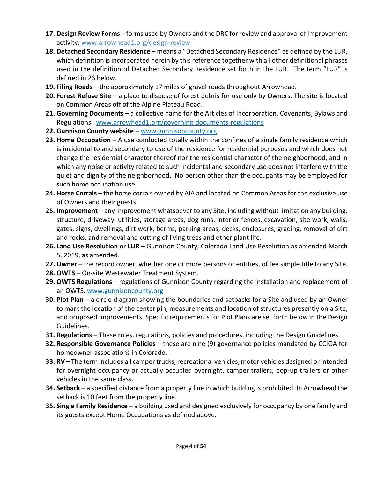- **17. Design Review Forms** forms used by Owners and the DRC for review and approval of Improvement activity. [www.arrowhead1.org/design-review](http://www.arrowhead1.org/design-review)
- **18. Detached Secondary Residence** means a "Detached Secondary Residence" as defined by the LUR, which definition is incorporated herein by this reference together with all other definitional phrases used in the definition of Detached Secondary Residence set forth in the LUR. The term "LUR" is defined in 26 below.
- **19. Filing Roads** the approximately 17 miles of gravel roads throughout Arrowhead.
- **20. Forest Refuse Site** a place to dispose of forest debris for use only by Owners. The site is located on Common Areas off of the Alpine Plateau Road.
- **21. Governing Documents** a collective name for the Articles of Incorporation, Covenants, Bylaws and Regulations. [www.arrowhead1.org/governing-documents-regulations](https://www.arrowhead1.org/governing-documents-regulations)
- **22. Gunnison County website** [www.gunnisoncounty.org.](http://www.gunnisoncounty.org/)
- **23. Home Occupation** A use conducted totally within the confines of a single family residence which is incidental to and secondary to use of the residence for residential purposes and which does not change the residential character thereof nor the residential character of the neighborhood, and in which any noise or activity related to such incidental and secondary use does not interfere with the quiet and dignity of the neighborhood. No person other than the occupants may be employed for such home occupation use.
- **24. Horse Corrals** the horse corrals owned by AIA and located on Common Areas for the exclusive use of Owners and their guests.
- **25. Improvement** any improvement whatsoever to any Site, including without limitation any building, structure, driveway, utilities, storage areas, dog runs, interior fences, excavation, site work, walls, gates, signs, dwellings, dirt work, berms, parking areas, decks, enclosures, grading, removal of dirt and rocks, and removal and cutting of living trees and other plant life.
- **26. Land Use Resolution** or **LUR**  Gunnison County, Colorado Land Use Resolution as amended March 5, 2019, as amended.
- **27. Owner** the record owner, whether one or more persons or entities, of fee simple title to any Site.
- **28. OWTS** On-site Wastewater Treatment System.
- **29. OWTS Regulations** regulations of Gunnison County regarding the installation and replacement of an OWTS. [www.gunnisoncounty.org](http://www.gunnisoncounty.org/)
- **30. Plot Plan** a circle diagram showing the boundaries and setbacks for a Site and used by an Owner to mark the location of the center pin, measurements and location of structures presently on a Site, and proposed Improvements. Specific requirements for Plot Plans are set forth below in the Design Guidelines.
- **31. Regulations** These rules, regulations, policies and procedures, including the Design Guidelines.
- **32. Responsible Governance Policies** these are nine (9) governance policies mandated by CCIOA for homeowner associations in Colorado.
- **33. RV** The term includes all camper trucks, recreational vehicles, motor vehicles designed or intended for overnight occupancy or actually occupied overnight, camper trailers, pop-up trailers or other vehicles in the same class.
- **34. Setback** a specified distance from a property line in which building is prohibited. In Arrowhead the setback is 10 feet from the property line.
- **35. Single Family Residence** a building used and designed exclusively for occupancy by one family and its guests except Home Occupations as defined above.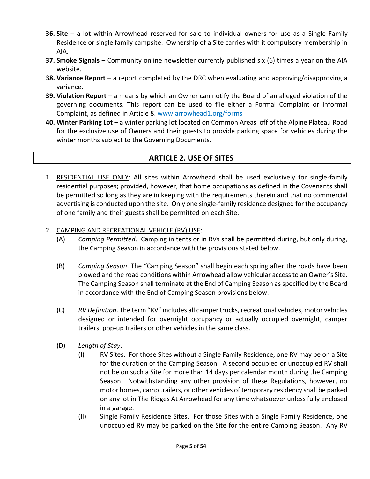- **36. Site** a lot within Arrowhead reserved for sale to individual owners for use as a Single Family Residence or single family campsite. Ownership of a Site carries with it compulsory membership in AIA.
- **37. Smoke Signals** Community online newsletter currently published six (6) times a year on the AIA website.
- **38. Variance Report** a report completed by the DRC when evaluating and approving/disapproving a variance.
- **39. Violation Report** a means by which an Owner can notify the Board of an alleged violation of the governing documents. This report can be used to file either a Formal Complaint or Informal Complaint, as defined in Article 8. [www.arrowhead1.org/forms](https://www.arrowhead1.org/forms)
- **40. Winter Parking Lot** a winter parking lot located on Common Areas off of the Alpine Plateau Road for the exclusive use of Owners and their guests to provide parking space for vehicles during the winter months subject to the Governing Documents.

## **ARTICLE 2. USE OF SITES**

- <span id="page-4-0"></span>1. RESIDENTIAL USE ONLY: All sites within Arrowhead shall be used exclusively for single-family residential purposes; provided, however, that home occupations as defined in the Covenants shall be permitted so long as they are in keeping with the requirements therein and that no commercial advertising is conducted upon the site. Only one single-family residence designed for the occupancy of one family and their guests shall be permitted on each Site.
- 2. CAMPING AND RECREATIONAL VEHICLE (RV) USE:
	- (A) *Camping Permitted*. Camping in tents or in RVs shall be permitted during, but only during, the Camping Season in accordance with the provisions stated below.
	- (B) *Camping Season*. The "Camping Season" shall begin each spring after the roads have been plowed and the road conditions within Arrowhead allow vehicular access to an Owner's Site. The Camping Season shall terminate at the End of Camping Season as specified by the Board in accordance with the End of Camping Season provisions below.
	- (C) *RV Definition*. The term "RV" includes all camper trucks, recreational vehicles, motor vehicles designed or intended for overnight occupancy or actually occupied overnight, camper trailers, pop-up trailers or other vehicles in the same class.
	- (D) *Length of Stay*.
		- (I) RV Sites. For those Sites without a Single Family Residence, one RV may be on a Site for the duration of the Camping Season. A second occupied or unoccupied RV shall not be on such a Site for more than 14 days per calendar month during the Camping Season. Notwithstanding any other provision of these Regulations, however, no motor homes, camp trailers, or other vehicles of temporary residency shall be parked on any lot in The Ridges At Arrowhead for any time whatsoever unless fully enclosed in a garage.
		- (II) Single Family Residence Sites. For those Sites with a Single Family Residence, one unoccupied RV may be parked on the Site for the entire Camping Season. Any RV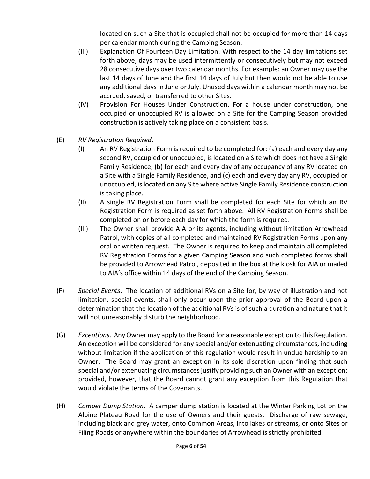located on such a Site that is occupied shall not be occupied for more than 14 days per calendar month during the Camping Season.

- (III) Explanation Of Fourteen Day Limitation. With respect to the 14 day limitations set forth above, days may be used intermittently or consecutively but may not exceed 28 consecutive days over two calendar months. For example: an Owner may use the last 14 days of June and the first 14 days of July but then would not be able to use any additional days in June or July. Unused days within a calendar month may not be accrued, saved, or transferred to other Sites.
- (IV) Provision For Houses Under Construction. For a house under construction, one occupied or unoccupied RV is allowed on a Site for the Camping Season provided construction is actively taking place on a consistent basis.
- (E) *RV Registration Required*.
	- (I) An RV Registration Form is required to be completed for: (a) each and every day any second RV, occupied or unoccupied, is located on a Site which does not have a Single Family Residence, (b) for each and every day of any occupancy of any RV located on a Site with a Single Family Residence, and (c) each and every day any RV, occupied or unoccupied, is located on any Site where active Single Family Residence construction is taking place.
	- (II) A single RV Registration Form shall be completed for each Site for which an RV Registration Form is required as set forth above. All RV Registration Forms shall be completed on or before each day for which the form is required.
	- (III) The Owner shall provide AIA or its agents, including without limitation Arrowhead Patrol, with copies of all completed and maintained RV Registration Forms upon any oral or written request. The Owner is required to keep and maintain all completed RV Registration Forms for a given Camping Season and such completed forms shall be provided to Arrowhead Patrol, deposited in the box at the kiosk for AIA or mailed to AIA's office within 14 days of the end of the Camping Season.
- (F) *Special Events*. The location of additional RVs on a Site for, by way of illustration and not limitation, special events, shall only occur upon the prior approval of the Board upon a determination that the location of the additional RVs is of such a duration and nature that it will not unreasonably disturb the neighborhood.
- (G) *Exceptions*. Any Owner may apply to the Board for a reasonable exception to this Regulation. An exception will be considered for any special and/or extenuating circumstances, including without limitation if the application of this regulation would result in undue hardship to an Owner. The Board may grant an exception in its sole discretion upon finding that such special and/or extenuating circumstances justify providing such an Owner with an exception; provided, however, that the Board cannot grant any exception from this Regulation that would violate the terms of the Covenants.
- (H) *Camper Dump Station*. A camper dump station is located at the Winter Parking Lot on the Alpine Plateau Road for the use of Owners and their guests. Discharge of raw sewage, including black and grey water, onto Common Areas, into lakes or streams, or onto Sites or Filing Roads or anywhere within the boundaries of Arrowhead is strictly prohibited.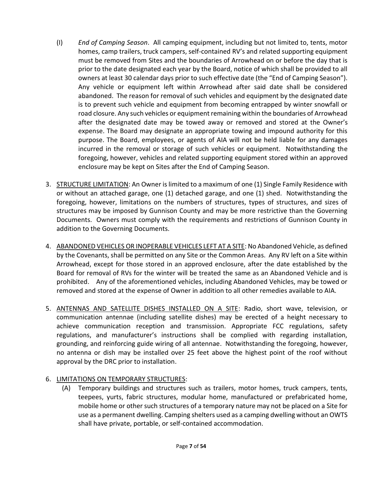- (I) *End of Camping Season*. All camping equipment, including but not limited to, tents, motor homes, camp trailers, truck campers, self-contained RV's and related supporting equipment must be removed from Sites and the boundaries of Arrowhead on or before the day that is prior to the date designated each year by the Board, notice of which shall be provided to all owners at least 30 calendar days prior to such effective date (the "End of Camping Season"). Any vehicle or equipment left within Arrowhead after said date shall be considered abandoned. The reason for removal of such vehicles and equipment by the designated date is to prevent such vehicle and equipment from becoming entrapped by winter snowfall or road closure. Any such vehicles or equipment remaining within the boundaries of Arrowhead after the designated date may be towed away or removed and stored at the Owner's expense. The Board may designate an appropriate towing and impound authority for this purpose. The Board, employees, or agents of AIA will not be held liable for any damages incurred in the removal or storage of such vehicles or equipment. Notwithstanding the foregoing, however, vehicles and related supporting equipment stored within an approved enclosure may be kept on Sites after the End of Camping Season.
- 3. STRUCTURE LIMITATION: An Owner is limited to a maximum of one (1) Single Family Residence with or without an attached garage, one (1) detached garage, and one (1) shed. Notwithstanding the foregoing, however, limitations on the numbers of structures, types of structures, and sizes of structures may be imposed by Gunnison County and may be more restrictive than the Governing Documents. Owners must comply with the requirements and restrictions of Gunnison County in addition to the Governing Documents.
- 4. ABANDONED VEHICLES OR INOPERABLE VEHICLES LEFT AT A SITE: No Abandoned Vehicle, as defined by the Covenants, shall be permitted on any Site or the Common Areas. Any RV left on a Site within Arrowhead, except for those stored in an approved enclosure, after the date established by the Board for removal of RVs for the winter will be treated the same as an Abandoned Vehicle and is prohibited. Any of the aforementioned vehicles, including Abandoned Vehicles, may be towed or removed and stored at the expense of Owner in addition to all other remedies available to AIA.
- 5. ANTENNAS AND SATELLITE DISHES INSTALLED ON A SITE: Radio, short wave, television, or communication antennae (including satellite dishes) may be erected of a height necessary to achieve communication reception and transmission. Appropriate FCC regulations, safety regulations, and manufacturer's instructions shall be complied with regarding installation, grounding, and reinforcing guide wiring of all antennae. Notwithstanding the foregoing, however, no antenna or dish may be installed over 25 feet above the highest point of the roof without approval by the DRC prior to installation.

### 6. LIMITATIONS ON TEMPORARY STRUCTURES:

(A) Temporary buildings and structures such as trailers, motor homes, truck campers, tents, teepees, yurts, fabric structures, modular home, manufactured or prefabricated home, mobile home or other such structures of a temporary nature may not be placed on a Site for use as a permanent dwelling. Camping shelters used as a camping dwelling without an OWTS shall have private, portable, or self-contained accommodation.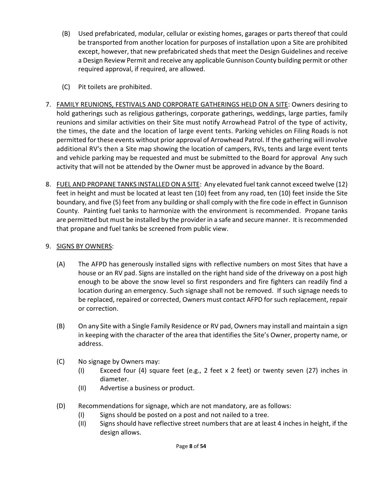- (B) Used prefabricated, modular, cellular or existing homes, garages or parts thereof that could be transported from another location for purposes of installation upon a Site are prohibited except, however, that new prefabricated sheds that meet the Design Guidelines and receive a Design Review Permit and receive any applicable Gunnison County building permit or other required approval, if required, are allowed.
- (C) Pit toilets are prohibited.
- 7. FAMILY REUNIONS, FESTIVALS AND CORPORATE GATHERINGS HELD ON A SITE: Owners desiring to hold gatherings such as religious gatherings, corporate gatherings, weddings, large parties, family reunions and similar activities on their Site must notify Arrowhead Patrol of the type of activity, the times, the date and the location of large event tents. Parking vehicles on Filing Roads is not permitted for these events without prior approval of Arrowhead Patrol. If the gathering will involve additional RV's then a Site map showing the location of campers, RVs, tents and large event tents and vehicle parking may be requested and must be submitted to the Board for approval Any such activity that will not be attended by the Owner must be approved in advance by the Board.
- 8. FUEL AND PROPANE TANKS INSTALLED ON A SITE: Any elevated fuel tank cannot exceed twelve (12) feet in height and must be located at least ten (10) feet from any road, ten (10) feet inside the Site boundary, and five (5) feet from any building or shall comply with the fire code in effect in Gunnison County. Painting fuel tanks to harmonize with the environment is recommended. Propane tanks are permitted but must be installed by the provider in a safe and secure manner. It is recommended that propane and fuel tanks be screened from public view.

### 9. SIGNS BY OWNERS:

- (A) The AFPD has generously installed signs with reflective numbers on most Sites that have a house or an RV pad. Signs are installed on the right hand side of the driveway on a post high enough to be above the snow level so first responders and fire fighters can readily find a location during an emergency. Such signage shall not be removed. If such signage needs to be replaced, repaired or corrected, Owners must contact AFPD for such replacement, repair or correction.
- (B) On any Site with a Single Family Residence or RV pad, Owners may install and maintain a sign in keeping with the character of the area that identifies the Site's Owner, property name, or address.
- (C) No signage by Owners may:
	- (I) Exceed four (4) square feet (e.g., 2 feet x 2 feet) or twenty seven (27) inches in diameter.
	- (II) Advertise a business or product.
- (D) Recommendations for signage, which are not mandatory, are as follows:
	- (I) Signs should be posted on a post and not nailed to a tree.
	- (II) Signs should have reflective street numbers that are at least 4 inches in height, if the design allows.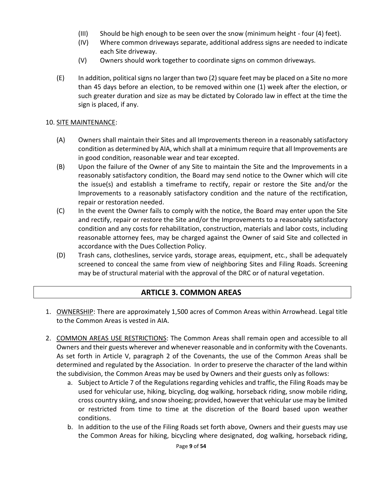- (III) Should be high enough to be seen over the snow (minimum height four (4) feet).
- (IV) Where common driveways separate, additional address signs are needed to indicate each Site driveway.
- (V) Owners should work together to coordinate signs on common driveways.
- (E) In addition, political signs no larger than two (2) square feet may be placed on a Site no more than 45 days before an election, to be removed within one (1) week after the election, or such greater duration and size as may be dictated by Colorado law in effect at the time the sign is placed, if any.

#### 10. SITE MAINTENANCE:

- (A) Owners shall maintain their Sites and all Improvements thereon in a reasonably satisfactory condition as determined by AIA, which shall at a minimum require that all Improvements are in good condition, reasonable wear and tear excepted.
- (B) Upon the failure of the Owner of any Site to maintain the Site and the Improvements in a reasonably satisfactory condition, the Board may send notice to the Owner which will cite the issue(s) and establish a timeframe to rectify, repair or restore the Site and/or the Improvements to a reasonably satisfactory condition and the nature of the rectification, repair or restoration needed.
- (C) In the event the Owner fails to comply with the notice, the Board may enter upon the Site and rectify, repair or restore the Site and/or the Improvements to a reasonably satisfactory condition and any costs for rehabilitation, construction, materials and labor costs, including reasonable attorney fees, may be charged against the Owner of said Site and collected in accordance with the Dues Collection Policy.
- (D) Trash cans, clotheslines, service yards, storage areas, equipment, etc., shall be adequately screened to conceal the same from view of neighboring Sites and Filing Roads. Screening may be of structural material with the approval of the DRC or of natural vegetation.

## **ARTICLE 3. COMMON AREAS**

- <span id="page-8-0"></span>1. OWNERSHIP: There are approximately 1,500 acres of Common Areas within Arrowhead. Legal title to the Common Areas is vested in AIA.
- 2. COMMON AREAS USE RESTRICTIONS: The Common Areas shall remain open and accessible to all Owners and their guests wherever and whenever reasonable and in conformity with the Covenants. As set forth in Article V, paragraph 2 of the Covenants, the use of the Common Areas shall be determined and regulated by the Association. In order to preserve the character of the land within the subdivision, the Common Areas may be used by Owners and their guests only as follows:
	- a. Subject to Article 7 of the Regulations regarding vehicles and traffic, the Filing Roads may be used for vehicular use, hiking, bicycling, dog walking, horseback riding, snow mobile riding, cross country skiing, and snow shoeing; provided, however that vehicular use may be limited or restricted from time to time at the discretion of the Board based upon weather conditions.
	- b. In addition to the use of the Filing Roads set forth above, Owners and their guests may use the Common Areas for hiking, bicycling where designated, dog walking, horseback riding,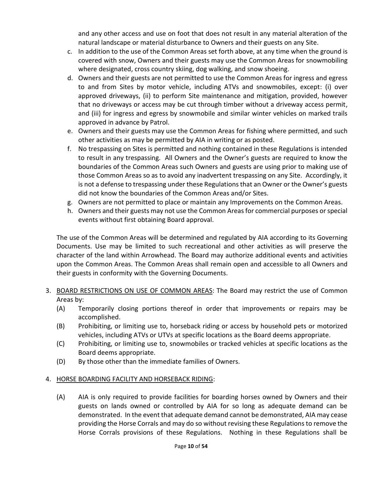and any other access and use on foot that does not result in any material alteration of the natural landscape or material disturbance to Owners and their guests on any Site.

- c. In addition to the use of the Common Areas set forth above, at any time when the ground is covered with snow, Owners and their guests may use the Common Areas for snowmobiling where designated, cross country skiing, dog walking, and snow shoeing.
- d. Owners and their guests are not permitted to use the Common Areas for ingress and egress to and from Sites by motor vehicle, including ATVs and snowmobiles, except: (i) over approved driveways, (ii) to perform Site maintenance and mitigation, provided, however that no driveways or access may be cut through timber without a driveway access permit, and (iii) for ingress and egress by snowmobile and similar winter vehicles on marked trails approved in advance by Patrol.
- e. Owners and their guests may use the Common Areas for fishing where permitted, and such other activities as may be permitted by AIA in writing or as posted.
- f. No trespassing on Sites is permitted and nothing contained in these Regulations is intended to result in any trespassing. All Owners and the Owner's guests are required to know the boundaries of the Common Areas such Owners and guests are using prior to making use of those Common Areas so as to avoid any inadvertent trespassing on any Site. Accordingly, it is not a defense to trespassing under these Regulations that an Owner or the Owner's guests did not know the boundaries of the Common Areas and/or Sites.
- g. Owners are not permitted to place or maintain any Improvements on the Common Areas.
- h. Owners and their guests may not use the Common Areas for commercial purposes or special events without first obtaining Board approval.

The use of the Common Areas will be determined and regulated by AIA according to its Governing Documents. Use may be limited to such recreational and other activities as will preserve the character of the land within Arrowhead. The Board may authorize additional events and activities upon the Common Areas. The Common Areas shall remain open and accessible to all Owners and their guests in conformity with the Governing Documents.

- 3. BOARD RESTRICTIONS ON USE OF COMMON AREAS: The Board may restrict the use of Common Areas by:
	- (A) Temporarily closing portions thereof in order that improvements or repairs may be accomplished.
	- (B) Prohibiting, or limiting use to, horseback riding or access by household pets or motorized vehicles, including ATVs or UTVs at specific locations as the Board deems appropriate.
	- (C) Prohibiting, or limiting use to, snowmobiles or tracked vehicles at specific locations as the Board deems appropriate.
	- (D) By those other than the immediate families of Owners.

### 4. HORSE BOARDING FACILITY AND HORSEBACK RIDING:

(A) AIA is only required to provide facilities for boarding horses owned by Owners and their guests on lands owned or controlled by AIA for so long as adequate demand can be demonstrated. In the event that adequate demand cannot be demonstrated, AIA may cease providing the Horse Corrals and may do so without revising these Regulations to remove the Horse Corrals provisions of these Regulations. Nothing in these Regulations shall be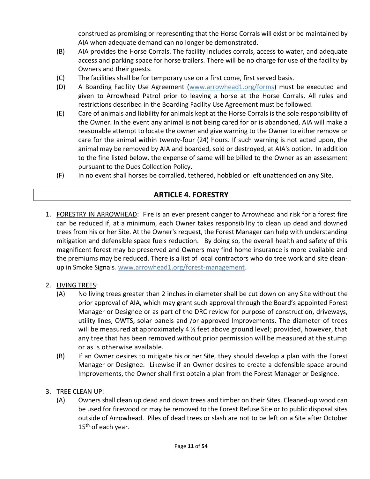construed as promising or representing that the Horse Corrals will exist or be maintained by AIA when adequate demand can no longer be demonstrated.

- (B) AIA provides the Horse Corrals. The facility includes corrals, access to water, and adequate access and parking space for horse trailers. There will be no charge for use of the facility by Owners and their guests.
- (C) The facilities shall be for temporary use on a first come, first served basis.
- (D) A Boarding Facility Use Agreement [\(www.arrowhead1.org/forms\)](https://www.arrowhead1.org/forms) must be executed and given to Arrowhead Patrol prior to leaving a horse at the Horse Corrals. All rules and restrictions described in the Boarding Facility Use Agreement must be followed.
- (E) Care of animals and liability for animals kept at the Horse Corrals is the sole responsibility of the Owner. In the event any animal is not being cared for or is abandoned, AIA will make a reasonable attempt to locate the owner and give warning to the Owner to either remove or care for the animal within twenty-four (24) hours. If such warning is not acted upon, the animal may be removed by AIA and boarded, sold or destroyed, at AIA's option. In addition to the fine listed below, the expense of same will be billed to the Owner as an assessment pursuant to the Dues Collection Policy.
- (F) In no event shall horses be corralled, tethered, hobbled or left unattended on any Site.

# **ARTICLE 4. FORESTRY**

- <span id="page-10-0"></span>1. FORESTRY IN ARROWHEAD: Fire is an ever present danger to Arrowhead and risk for a forest fire can be reduced if, at a minimum, each Owner takes responsibility to clean up dead and downed trees from his or her Site. At the Owner's request, the Forest Manager can help with understanding mitigation and defensible space fuels reduction. By doing so, the overall health and safety of this magnificent forest may be preserved and Owners may find home insurance is more available and the premiums may be reduced. There is a list of local contractors who do tree work and site cleanup in Smoke Signals. [www.arrowhead1.org/forest-management.](http://www.arrowhead1.org/forest-management)
- 2. LIVING TREES:
	- (A) No living trees greater than 2 inches in diameter shall be cut down on any Site without the prior approval of AIA, which may grant such approval through the Board's appointed Forest Manager or Designee or as part of the DRC review for purpose of construction, driveways, utility lines, OWTS, solar panels and /or approved Improvements. The diameter of trees will be measured at approximately 4  $\frac{1}{2}$  feet above ground level; provided, however, that any tree that has been removed without prior permission will be measured at the stump or as is otherwise available.
	- (B) If an Owner desires to mitigate his or her Site, they should develop a plan with the Forest Manager or Designee. Likewise if an Owner desires to create a defensible space around Improvements, the Owner shall first obtain a plan from the Forest Manager or Designee.
- 3. TREE CLEAN UP:
	- (A) Owners shall clean up dead and down trees and timber on their Sites. Cleaned-up wood can be used for firewood or may be removed to the Forest Refuse Site or to public disposal sites outside of Arrowhead. Piles of dead trees or slash are not to be left on a Site after October 15<sup>th</sup> of each year.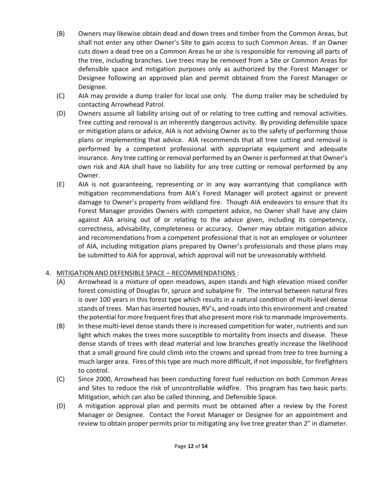- (B) Owners may likewise obtain dead and down trees and timber from the Common Areas, but shall not enter any other Owner's Site to gain access to such Common Areas. If an Owner cuts down a dead tree on a Common Areas he or she is responsible for removing all parts of the tree, including branches. Live trees may be removed from a Site or Common Areas for defensible space and mitigation purposes only as authorized by the Forest Manager or Designee following an approved plan and permit obtained from the Forest Manager or Designee.
- (C) AIA may provide a dump trailer for local use only. The dump trailer may be scheduled by contacting Arrowhead Patrol.
- (D) Owners assume all liability arising out of or relating to tree cutting and removal activities. Tree cutting and removal is an inherently dangerous activity. By providing defensible space or mitigation plans or advice, AIA is not advising Owner as to the safety of performing those plans or implementing that advice. AIA recommends that all tree cutting and removal is performed by a competent professional with appropriate equipment and adequate insurance. Any tree cutting or removal performed by an Owner is performed at that Owner's own risk and AIA shall have no liability for any tree cutting or removal performed by any Owner.
- (E) AIA is not guaranteeing, representing or in any way warrantying that compliance with mitigation recommendations from AIA's Forest Manager will protect against or prevent damage to Owner's property from wildland fire. Though AIA endeavors to ensure that its Forest Manager provides Owners with competent advice, no Owner shall have any claim against AIA arising out of or relating to the advice given, including its competency, correctness, advisability, completeness or accuracy. Owner may obtain mitigation advice and recommendations from a competent professional that is not an employee or volunteer of AIA, including mitigation plans prepared by Owner's professionals and those plans may be submitted to AIA for approval, which approval will not be unreasonably withheld.

## 4. MITIGATIONAND DEFENSIBLE SPACE – RECOMMENDATIONS :

- (A) Arrowhead is a mixture of open meadows, aspen stands and high elevation mixed conifer forest consisting of Douglas fir, spruce and subalpine fir. The interval between natural fires is over 100 years in this forest type which results in a natural condition of multi-level dense stands of trees. Man has inserted houses, RV's, and roads into this environment and created the potential for more frequent fires that also present more risk to manmade improvements.
- (B) In these multi-level dense stands there is increased competition for water, nutrients and sun light which makes the trees more susceptible to mortality from insects and disease. These dense stands of trees with dead material and low branches greatly increase the likelihood that a small ground fire could climb into the crowns and spread from tree to tree burning a much larger area. Fires of this type are much more difficult, if not impossible, for firefighters to control.
- (C) Since 2000, Arrowhead has been conducting forest fuel reduction on both Common Areas and Sites to reduce the risk of uncontrollable wildfire. This program has two basic parts: Mitigation, which can also be called thinning, and Defensible Space.
- (D) A mitigation approval plan and permits must be obtained after a review by the Forest Manager or Designee. Contact the Forest Manager or Designee for an appointment and review to obtain proper permits prior to mitigating any live tree greater than 2" in diameter.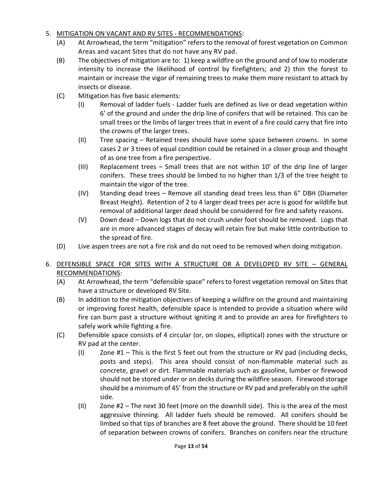## 5. MITIGATION ON VACANT AND RV SITES - RECOMMENDATIONS:

- (A) At Arrowhead, the term "mitigation" refers to the removal of forest vegetation on Common Areas and vacant Sites that do not have any RV pad.
- (B) The objectives of mitigation are to: 1) keep a wildfire on the ground and of low to moderate intensity to increase the likelihood of control by firefighters; and 2) thin the forest to maintain or increase the vigor of remaining trees to make them more resistant to attack by insects or disease.
- (C) Mitigation has five basic elements:
	- (I) Removal of ladder fuels Ladder fuels are defined as live or dead vegetation within 6' of the ground and under the drip line of conifers that will be retained. This can be small trees or the limbs of larger trees that in event of a fire could carry that fire into the crowns of the larger trees.
	- (II) Tree spacing Retained trees should have some space between crowns. In some cases 2 or 3 trees of equal condition could be retained in a closer group and thought of as one tree from a fire perspective.
	- (III) Replacement trees Small trees that are not within 10' of the drip line of larger conifers. These trees should be limbed to no higher than 1/3 of the tree height to maintain the vigor of the tree.
	- (IV) Standing dead trees Remove all standing dead trees less than 6" DBH (Diameter Breast Height). Retention of 2 to 4 larger dead trees per acre is good for wildlife but removal of additional larger dead should be considered for fire and safety reasons.
	- (V) Down dead Down logs that do not crush under foot should be removed. Logs that are in more advanced stages of decay will retain fire but make little contribution to the spread of fire.
- (D) Live aspen trees are not a fire risk and do not need to be removed when doing mitigation.

## 6. DEFENSIBLE SPACE FOR SITES WITH A STRUCTURE OR A DEVELOPED RV SITE – GENERAL RECOMMENDATIONS:

- (A) At Arrowhead, the term "defensible space" refers to forest vegetation removal on Sites that have a structure or developed RV Site.
- (B) In addition to the mitigation objectives of keeping a wildfire on the ground and maintaining or improving forest health, defensible space is intended to provide a situation where wild fire can burn past a structure without igniting it and to provide an area for firefighters to safely work while fighting a fire.
- (C) Defensible space consists of 4 circular (or, on slopes, elliptical) zones with the structure or RV pad at the center.
	- (I) Zone  $#1$  This is the first 5 feet out from the structure or RV pad (including decks, posts and steps). This area should consist of non-flammable material such as concrete, gravel or dirt. Flammable materials such as gasoline, lumber or firewood should not be stored under or on decks during the wildfire season. Firewood storage should be a minimum of 45' from the structure or RV pad and preferably on the uphill side.
	- (II) Zone #2 The next 30 feet (more on the downhill side). This is the area of the most aggressive thinning. All ladder fuels should be removed. All conifers should be limbed so that tips of branches are 8 feet above the ground. There should be 10 feet of separation between crowns of conifers. Branches on conifers near the structure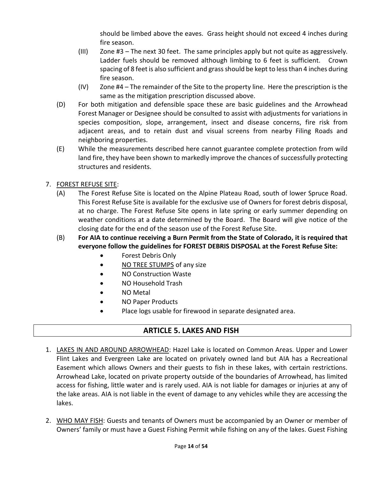should be limbed above the eaves. Grass height should not exceed 4 inches during fire season.

- (III) Zone #3 The next 30 feet. The same principles apply but not quite as aggressively. Ladder fuels should be removed although limbing to 6 feet is sufficient. Crown spacing of 8 feet is also sufficient and grass should be kept to less than 4 inches during fire season.
- (IV) Zone #4 The remainder of the Site to the property line. Here the prescription is the same as the mitigation prescription discussed above.
- (D) For both mitigation and defensible space these are basic guidelines and the Arrowhead Forest Manager or Designee should be consulted to assist with adjustments for variations in species composition, slope, arrangement, insect and disease concerns, fire risk from adjacent areas, and to retain dust and visual screens from nearby Filing Roads and neighboring properties.
- (E) While the measurements described here cannot guarantee complete protection from wild land fire, they have been shown to markedly improve the chances of successfully protecting structures and residents.
- 7. FOREST REFUSE SITE:
	- (A) The Forest Refuse Site is located on the Alpine Plateau Road, south of lower Spruce Road. This Forest Refuse Site is available for the exclusive use of Owners for forest debris disposal, at no charge. The Forest Refuse Site opens in late spring or early summer depending on weather conditions at a date determined by the Board. The Board will give notice of the closing date for the end of the season use of the Forest Refuse Site.
	- (B) **For AIA to continue receiving a Burn Permit from the State of Colorado, it is required that everyone follow the guidelines for FOREST DEBRIS DISPOSAL at the Forest Refuse Site:**
		- Forest Debris Only
		- NO TREE STUMPS of any size
		- NO Construction Waste
		- NO Household Trash
		- NO Metal
		- NO Paper Products
		- Place logs usable for firewood in separate designated area.

# **ARTICLE 5. LAKES AND FISH**

- <span id="page-13-0"></span>1. LAKES IN AND AROUND ARROWHEAD: Hazel Lake is located on Common Areas. Upper and Lower Flint Lakes and Evergreen Lake are located on privately owned land but AIA has a Recreational Easement which allows Owners and their guests to fish in these lakes, with certain restrictions. Arrowhead Lake, located on private property outside of the boundaries of Arrowhead, has limited access for fishing, little water and is rarely used. AIA is not liable for damages or injuries at any of the lake areas. AIA is not liable in the event of damage to any vehicles while they are accessing the lakes.
- 2. WHO MAY FISH: Guests and tenants of Owners must be accompanied by an Owner or member of Owners' family or must have a Guest Fishing Permit while fishing on any of the lakes. Guest Fishing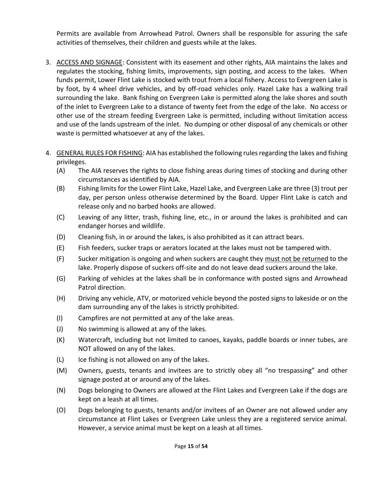Permits are available from Arrowhead Patrol. Owners shall be responsible for assuring the safe activities of themselves, their children and guests while at the lakes.

- 3. ACCESS AND SIGNAGE: Consistent with its easement and other rights, AIA maintains the lakes and regulates the stocking, fishing limits, improvements, sign posting, and access to the lakes. When funds permit, Lower Flint Lake is stocked with trout from a local fishery. Access to Evergreen Lake is by foot, by 4 wheel drive vehicles, and by off-road vehicles only. Hazel Lake has a walking trail surrounding the lake. Bank fishing on Evergreen Lake is permitted along the lake shores and south of the inlet to Evergreen Lake to a distance of twenty feet from the edge of the lake. No access or other use of the stream feeding Evergreen Lake is permitted, including without limitation access and use of the lands upstream of the inlet. No dumping or other disposal of any chemicals or other waste is permitted whatsoever at any of the lakes.
- 4. GENERAL RULES FOR FISHING: AIA has established the following rules regarding the lakes and fishing privileges.
	- (A) The AIA reserves the rights to close fishing areas during times of stocking and during other circumstances as identified by AIA.
	- (B) Fishing limits for the Lower Flint Lake, Hazel Lake, and Evergreen Lake are three (3) trout per day, per person unless otherwise determined by the Board. Upper Flint Lake is catch and release only and no barbed hooks are allowed.
	- (C) Leaving of any litter, trash, fishing line, etc., in or around the lakes is prohibited and can endanger horses and wildlife.
	- (D) Cleaning fish, in or around the lakes, is also prohibited as it can attract bears.
	- (E) Fish feeders, sucker traps or aerators located at the lakes must not be tampered with.
	- (F) Sucker mitigation is ongoing and when suckers are caught they must not be returned to the lake. Properly dispose of suckers off-site and do not leave dead suckers around the lake.
	- (G) Parking of vehicles at the lakes shall be in conformance with posted signs and Arrowhead Patrol direction.
	- (H) Driving any vehicle, ATV, or motorized vehicle beyond the posted signs to lakeside or on the dam surrounding any of the lakes is strictly prohibited.
	- (I) Campfires are not permitted at any of the lake areas.
	- (J) No swimming is allowed at any of the lakes.
	- (K) Watercraft, including but not limited to canoes, kayaks, paddle boards or inner tubes, are NOT allowed on any of the lakes.
	- (L) Ice fishing is not allowed on any of the lakes.
	- (M) Owners, guests, tenants and invitees are to strictly obey all "no trespassing" and other signage posted at or around any of the lakes.
	- (N) Dogs belonging to Owners are allowed at the Flint Lakes and Evergreen Lake if the dogs are kept on a leash at all times.
	- (O) Dogs belonging to guests, tenants and/or invitees of an Owner are not allowed under any circumstance at Flint Lakes or Evergreen Lake unless they are a registered service animal. However, a service animal must be kept on a leash at all times.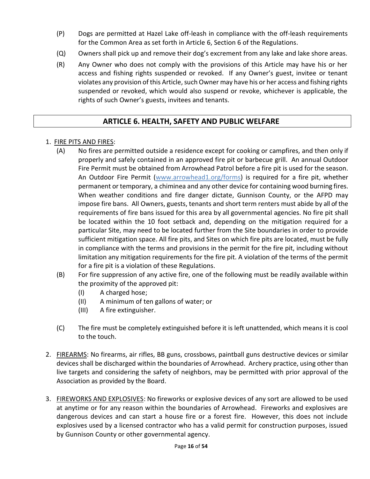- (P) Dogs are permitted at Hazel Lake off-leash in compliance with the off-leash requirements for the Common Area as set forth in Article 6, Section 6 of the Regulations.
- (Q) Owners shall pick up and remove their dog's excrement from any lake and lake shore areas.
- (R) Any Owner who does not comply with the provisions of this Article may have his or her access and fishing rights suspended or revoked. If any Owner's guest, invitee or tenant violates any provision of this Article, such Owner may have his or her access and fishing rights suspended or revoked, which would also suspend or revoke, whichever is applicable, the rights of such Owner's guests, invitees and tenants.

## **ARTICLE 6. HEALTH, SAFETY AND PUBLIC WELFARE**

### <span id="page-15-0"></span>1. FIRE PITS AND FIRES:

- (A) No fires are permitted outside a residence except for cooking or campfires, and then only if properly and safely contained in an approved fire pit or barbecue grill. An annual Outdoor Fire Permit must be obtained from Arrowhead Patrol before a fire pit is used for the season. An Outdoor Fire Permit [\(www.arrowhead1.org/forms\)](http://www.arrowhead1.org/forms) is required for a fire pit, whether permanent or temporary, a chiminea and any other device for containing wood burning fires. When weather conditions and fire danger dictate, Gunnison County, or the AFPD may impose fire bans. All Owners, guests, tenants and short term renters must abide by all of the requirements of fire bans issued for this area by all governmental agencies. No fire pit shall be located within the 10 foot setback and, depending on the mitigation required for a particular Site, may need to be located further from the Site boundaries in order to provide sufficient mitigation space. All fire pits, and Sites on which fire pits are located, must be fully in compliance with the terms and provisions in the permit for the fire pit, including without limitation any mitigation requirements for the fire pit. A violation of the terms of the permit for a fire pit is a violation of these Regulations.
- (B) For fire suppression of any active fire, one of the following must be readily available within the proximity of the approved pit:
	- (I) A charged hose;
	- (II) A minimum of ten gallons of water; or
	- (III) A fire extinguisher.
- (C) The fire must be completely extinguished before it is left unattended, which means it is cool to the touch.
- 2. FIREARMS: No firearms, air rifles, BB guns, crossbows, paintball guns destructive devices or similar devices shall be discharged within the boundaries of Arrowhead. Archery practice, using other than live targets and considering the safety of neighbors, may be permitted with prior approval of the Association as provided by the Board.
- 3. FIREWORKS AND EXPLOSIVES: No fireworks or explosive devices of any sort are allowed to be used at anytime or for any reason within the boundaries of Arrowhead. Fireworks and explosives are dangerous devices and can start a house fire or a forest fire. However, this does not include explosives used by a licensed contractor who has a valid permit for construction purposes, issued by Gunnison County or other governmental agency.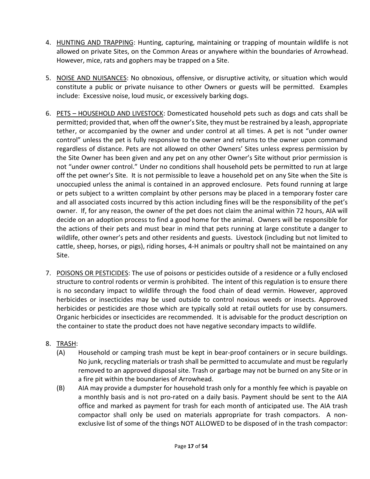- 4. HUNTING AND TRAPPING: Hunting, capturing, maintaining or trapping of mountain wildlife is not allowed on private Sites, on the Common Areas or anywhere within the boundaries of Arrowhead. However, mice, rats and gophers may be trapped on a Site.
- 5. NOISE AND NUISANCES: No obnoxious, offensive, or disruptive activity, or situation which would constitute a public or private nuisance to other Owners or guests will be permitted. Examples include: Excessive noise, loud music, or excessively barking dogs.
- 6. PETS HOUSEHOLD AND LIVESTOCK: Domesticated household pets such as dogs and cats shall be permitted; provided that, when off the owner's Site, they must be restrained by a leash, appropriate tether, or accompanied by the owner and under control at all times. A pet is not "under owner control" unless the pet is fully responsive to the owner and returns to the owner upon command regardless of distance. Pets are not allowed on other Owners' Sites unless express permission by the Site Owner has been given and any pet on any other Owner's Site without prior permission is not "under owner control." Under no conditions shall household pets be permitted to run at large off the pet owner's Site. It is not permissible to leave a household pet on any Site when the Site is unoccupied unless the animal is contained in an approved enclosure. Pets found running at large or pets subject to a written complaint by other persons may be placed in a temporary foster care and all associated costs incurred by this action including fines will be the responsibility of the pet's owner. If, for any reason, the owner of the pet does not claim the animal within 72 hours, AIA will decide on an adoption process to find a good home for the animal. Owners will be responsible for the actions of their pets and must bear in mind that pets running at large constitute a danger to wildlife, other owner's pets and other residents and guests. Livestock (including but not limited to cattle, sheep, horses, or pigs), riding horses, 4-H animals or poultry shall not be maintained on any Site.
- 7. POISONS OR PESTICIDES: The use of poisons or pesticides outside of a residence or a fully enclosed structure to control rodents or vermin is prohibited. The intent of this regulation is to ensure there is no secondary impact to wildlife through the food chain of dead vermin. However, approved herbicides or insecticides may be used outside to control noxious weeds or insects. Approved herbicides or pesticides are those which are typically sold at retail outlets for use by consumers. Organic herbicides or insecticides are recommended. It is advisable for the product description on the container to state the product does not have negative secondary impacts to wildlife.
- 8. TRASH:
	- (A) Household or camping trash must be kept in bear-proof containers or in secure buildings. No junk, recycling materials or trash shall be permitted to accumulate and must be regularly removed to an approved disposal site. Trash or garbage may not be burned on any Site or in a fire pit within the boundaries of Arrowhead.
	- (B) AIA may provide a dumpster for household trash only for a monthly fee which is payable on a monthly basis and is not pro-rated on a daily basis. Payment should be sent to the AIA office and marked as payment for trash for each month of anticipated use. The AIA trash compactor shall only be used on materials appropriate for trash compactors. A nonexclusive list of some of the things NOT ALLOWED to be disposed of in the trash compactor: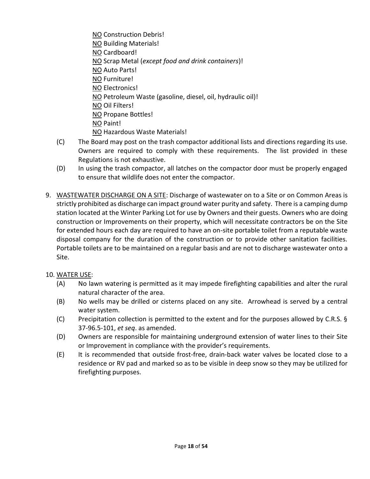- NO Construction Debris! NO Building Materials! NO Cardboard! NO Scrap Metal (*except food and drink containers*)! NO Auto Parts! NO Furniture! NO Electronics! NO Petroleum Waste (gasoline, diesel, oil, hydraulic oil)! NO Oil Filters! NO Propane Bottles! NO Paint! NO Hazardous Waste Materials!
- (C) The Board may post on the trash compactor additional lists and directions regarding its use. Owners are required to comply with these requirements. The list provided in these Regulations is not exhaustive.
- (D) In using the trash compactor, all latches on the compactor door must be properly engaged to ensure that wildlife does not enter the compactor.
- 9. WASTEWATER DISCHARGE ON A SITE: Discharge of wastewater on to a Site or on Common Areas is strictly prohibited as discharge can impact ground water purity and safety. There is a camping dump station located at the Winter Parking Lot for use by Owners and their guests. Owners who are doing construction or Improvements on their property, which will necessitate contractors be on the Site for extended hours each day are required to have an on-site portable toilet from a reputable waste disposal company for the duration of the construction or to provide other sanitation facilities. Portable toilets are to be maintained on a regular basis and are not to discharge wastewater onto a Site.

## 10. WATER USE:

- (A) No lawn watering is permitted as it may impede firefighting capabilities and alter the rural natural character of the area.
- (B) No wells may be drilled or cisterns placed on any site. Arrowhead is served by a central water system.
- (C) Precipitation collection is permitted to the extent and for the purposes allowed by C.R.S. § 37-96.5-101, *et seq*. as amended.
- (D) Owners are responsible for maintaining underground extension of water lines to their Site or Improvement in compliance with the provider's requirements.
- (E) It is recommended that outside frost-free, drain-back water valves be located close to a residence or RV pad and marked so as to be visible in deep snow so they may be utilized for firefighting purposes.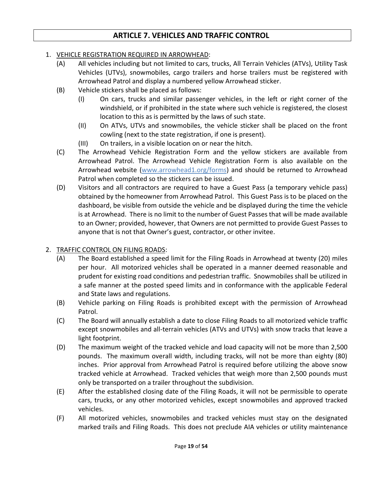## **ARTICLE 7. VEHICLES AND TRAFFIC CONTROL**

#### <span id="page-18-0"></span>1. VEHICLE REGISTRATION REQUIRED IN ARROWHEAD:

- (A) All vehicles including but not limited to cars, trucks, All Terrain Vehicles (ATVs), Utility Task Vehicles (UTVs), snowmobiles, cargo trailers and horse trailers must be registered with Arrowhead Patrol and display a numbered yellow Arrowhead sticker.
- (B) Vehicle stickers shall be placed as follows:
	- (I) On cars, trucks and similar passenger vehicles, in the left or right corner of the windshield, or if prohibited in the state where such vehicle is registered, the closest location to this as is permitted by the laws of such state.
	- (II) On ATVs, UTVs and snowmobiles, the vehicle sticker shall be placed on the front cowling (next to the state registration, if one is present).
	- (III) On trailers, in a visible location on or near the hitch.
- (C) The Arrowhead Vehicle Registration Form and the yellow stickers are available from Arrowhead Patrol. The Arrowhead Vehicle Registration Form is also available on the Arrowhead website [\(www.arrowhead1.org/forms\)](http://www.arrowhead1.org/forms) and should be returned to Arrowhead Patrol when completed so the stickers can be issued.
- (D) Visitors and all contractors are required to have a Guest Pass (a temporary vehicle pass) obtained by the homeowner from Arrowhead Patrol. This Guest Pass is to be placed on the dashboard, be visible from outside the vehicle and be displayed during the time the vehicle is at Arrowhead. There is no limit to the number of Guest Passes that will be made available to an Owner; provided, however, that Owners are not permitted to provide Guest Passes to anyone that is not that Owner's guest, contractor, or other invitee.

### 2. TRAFFIC CONTROL ON FILING ROADS:

- (A) The Board established a speed limit for the Filing Roads in Arrowhead at twenty (20) miles per hour. All motorized vehicles shall be operated in a manner deemed reasonable and prudent for existing road conditions and pedestrian traffic. Snowmobiles shall be utilized in a safe manner at the posted speed limits and in conformance with the applicable Federal and State laws and regulations.
- (B) Vehicle parking on Filing Roads is prohibited except with the permission of Arrowhead Patrol.
- (C) The Board will annually establish a date to close Filing Roads to all motorized vehicle traffic except snowmobiles and all-terrain vehicles (ATVs and UTVs) with snow tracks that leave a light footprint.
- (D) The maximum weight of the tracked vehicle and load capacity will not be more than 2,500 pounds. The maximum overall width, including tracks, will not be more than eighty (80) inches. Prior approval from Arrowhead Patrol is required before utilizing the above snow tracked vehicle at Arrowhead. Tracked vehicles that weigh more than 2,500 pounds must only be transported on a trailer throughout the subdivision.
- (E) After the established closing date of the Filing Roads, it will not be permissible to operate cars, trucks, or any other motorized vehicles, except snowmobiles and approved tracked vehicles.
- (F) All motorized vehicles, snowmobiles and tracked vehicles must stay on the designated marked trails and Filing Roads. This does not preclude AIA vehicles or utility maintenance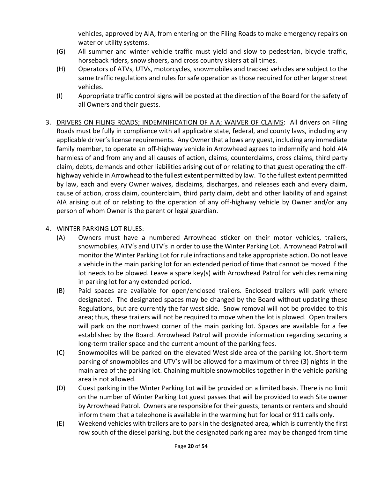vehicles, approved by AIA, from entering on the Filing Roads to make emergency repairs on water or utility systems.

- (G) All summer and winter vehicle traffic must yield and slow to pedestrian, bicycle traffic, horseback riders, snow shoers, and cross country skiers at all times.
- (H) Operators of ATVs, UTVs, motorcycles, snowmobiles and tracked vehicles are subject to the same traffic regulations and rules for safe operation as those required for other larger street vehicles.
- (I) Appropriate traffic control signs will be posted at the direction of the Board for the safety of all Owners and their guests.
- 3. DRIVERS ON FILING ROADS; INDEMNIFICATION OF AIA; WAIVER OF CLAIMS: All drivers on Filing Roads must be fully in compliance with all applicable state, federal, and county laws, including any applicable driver's license requirements. Any Owner that allows any guest, including any immediate family member, to operate an off-highway vehicle in Arrowhead agrees to indemnify and hold AIA harmless of and from any and all causes of action, claims, counterclaims, cross claims, third party claim, debts, demands and other liabilities arising out of or relating to that guest operating the offhighway vehicle in Arrowhead to the fullest extent permitted by law. To the fullest extent permitted by law, each and every Owner waives, disclaims, discharges, and releases each and every claim, cause of action, cross claim, counterclaim, third party claim, debt and other liability of and against AIA arising out of or relating to the operation of any off-highway vehicle by Owner and/or any person of whom Owner is the parent or legal guardian.

### 4. WINTER PARKING LOT RULES:

- (A) Owners must have a numbered Arrowhead sticker on their motor vehicles, trailers, snowmobiles, ATV's and UTV's in order to use the Winter Parking Lot. Arrowhead Patrol will monitor the Winter Parking Lot for rule infractions and take appropriate action. Do not leave a vehicle in the main parking lot for an extended period of time that cannot be moved if the lot needs to be plowed. Leave a spare key(s) with Arrowhead Patrol for vehicles remaining in parking lot for any extended period.
- (B) Paid spaces are available for open/enclosed trailers. Enclosed trailers will park where designated. The designated spaces may be changed by the Board without updating these Regulations, but are currently the far west side. Snow removal will not be provided to this area; thus, these trailers will not be required to move when the lot is plowed. Open trailers will park on the northwest corner of the main parking lot. Spaces are available for a fee established by the Board. Arrowhead Patrol will provide information regarding securing a long-term trailer space and the current amount of the parking fees.
- (C) Snowmobiles will be parked on the elevated West side area of the parking lot. Short-term parking of snowmobiles and UTV's will be allowed for a maximum of three (3) nights in the main area of the parking lot. Chaining multiple snowmobiles together in the vehicle parking area is not allowed.
- (D) Guest parking in the Winter Parking Lot will be provided on a limited basis. There is no limit on the number of Winter Parking Lot guest passes that will be provided to each Site owner by Arrowhead Patrol. Owners are responsible for their guests, tenants or renters and should inform them that a telephone is available in the warming hut for local or 911 calls only.
- (E) Weekend vehicles with trailers are to park in the designated area, which is currently the first row south of the diesel parking, but the designated parking area may be changed from time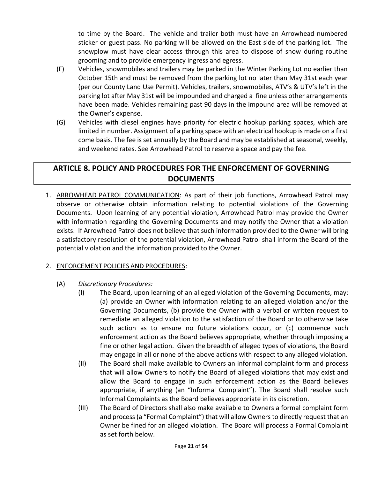to time by the Board. The vehicle and trailer both must have an Arrowhead numbered sticker or guest pass. No parking will be allowed on the East side of the parking lot. The snowplow must have clear access through this area to dispose of snow during routine grooming and to provide emergency ingress and egress.

- (F) Vehicles, snowmobiles and trailers may be parked in the Winter Parking Lot no earlier than October 15th and must be removed from the parking lot no later than May 31st each year (per our County Land Use Permit). Vehicles, trailers, snowmobiles, ATV's & UTV's left in the parking lot after May 31st will be impounded and charged a fine unless other arrangements have been made. Vehicles remaining past 90 days in the impound area will be removed at the Owner's expense.
- (G) Vehicles with diesel engines have priority for electric hookup parking spaces, which are limited in number. Assignment of a parking space with an electrical hookup is made on a first come basis. The fee is set annually by the Board and may be established at seasonal, weekly, and weekend rates. See Arrowhead Patrol to reserve a space and pay the fee.

# <span id="page-20-0"></span>**ARTICLE 8. POLICY AND PROCEDURES FOR THE ENFORCEMENT OF GOVERNING DOCUMENTS**

1. ARROWHEAD PATROL COMMUNICATION: As part of their job functions, Arrowhead Patrol may observe or otherwise obtain information relating to potential violations of the Governing Documents. Upon learning of any potential violation, Arrowhead Patrol may provide the Owner with information regarding the Governing Documents and may notify the Owner that a violation exists. If Arrowhead Patrol does not believe that such information provided to the Owner will bring a satisfactory resolution of the potential violation, Arrowhead Patrol shall inform the Board of the potential violation and the information provided to the Owner.

## 2. ENFORCEMENT POLICIES AND PROCEDURES:

- (A) *Discretionary Procedures:* 
	- (I) The Board, upon learning of an alleged violation of the Governing Documents, may: (a) provide an Owner with information relating to an alleged violation and/or the Governing Documents, (b) provide the Owner with a verbal or written request to remediate an alleged violation to the satisfaction of the Board or to otherwise take such action as to ensure no future violations occur, or (c) commence such enforcement action as the Board believes appropriate, whether through imposing a fine or other legal action. Given the breadth of alleged types of violations, the Board may engage in all or none of the above actions with respect to any alleged violation.
	- (II) The Board shall make available to Owners an informal complaint form and process that will allow Owners to notify the Board of alleged violations that may exist and allow the Board to engage in such enforcement action as the Board believes appropriate, if anything (an "Informal Complaint"). The Board shall resolve such Informal Complaints as the Board believes appropriate in its discretion.
	- (III) The Board of Directors shall also make available to Owners a formal complaint form and process (a "Formal Complaint") that will allow Owners to directly request that an Owner be fined for an alleged violation. The Board will process a Formal Complaint as set forth below.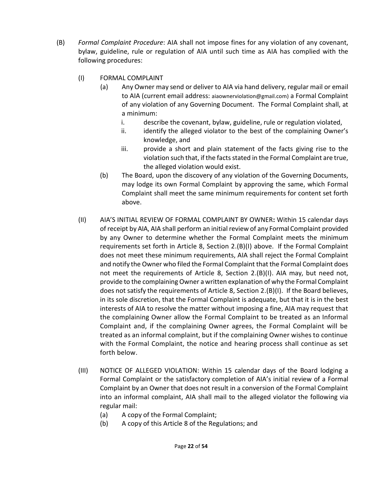- (B) *Formal Complaint Procedure*: AIA shall not impose fines for any violation of any covenant, bylaw, guideline, rule or regulation of AIA until such time as AIA has complied with the following procedures:
	- (I) FORMAL COMPLAINT
		- (a) Any Owner may send or deliver to AIA via hand delivery, regular mail or email to AIA (current email address: aiaownerviolation@gmail.com) a Formal Complaint of any violation of any Governing Document. The Formal Complaint shall, at a minimum:
			- i. describe the covenant, bylaw, guideline, rule or regulation violated,
			- ii. identify the alleged violator to the best of the complaining Owner's knowledge, and
			- iii. provide a short and plain statement of the facts giving rise to the violation such that, if the facts stated in the Formal Complaint are true, the alleged violation would exist.
		- (b) The Board, upon the discovery of any violation of the Governing Documents, may lodge its own Formal Complaint by approving the same, which Formal Complaint shall meet the same minimum requirements for content set forth above.
	- (II) AIA'S INITIAL REVIEW OF FORMAL COMPLAINT BY OWNER**:** Within 15 calendar days of receipt by AIA, AIA shall perform an initial review of any Formal Complaint provided by any Owner to determine whether the Formal Complaint meets the minimum requirements set forth in Article 8, Section 2.(B)(I) above. If the Formal Complaint does not meet these minimum requirements, AIA shall reject the Formal Complaint and notify the Owner who filed the Formal Complaint that the Formal Complaint does not meet the requirements of Article 8, Section 2.(B)(I). AIA may, but need not, provide to the complaining Owner a written explanation of why the Formal Complaint does not satisfy the requirements of Article 8, Section 2.(B)(I). If the Board believes, in its sole discretion, that the Formal Complaint is adequate, but that it is in the best interests of AIA to resolve the matter without imposing a fine, AIA may request that the complaining Owner allow the Formal Complaint to be treated as an Informal Complaint and, if the complaining Owner agrees, the Formal Complaint will be treated as an informal complaint, but if the complaining Owner wishes to continue with the Formal Complaint, the notice and hearing process shall continue as set forth below.
	- (III) NOTICE OF ALLEGED VIOLATION: Within 15 calendar days of the Board lodging a Formal Complaint or the satisfactory completion of AIA's initial review of a Formal Complaint by an Owner that does not result in a conversion of the Formal Complaint into an informal complaint, AIA shall mail to the alleged violator the following via regular mail:
		- (a) A copy of the Formal Complaint;
		- (b) A copy of this Article 8 of the Regulations; and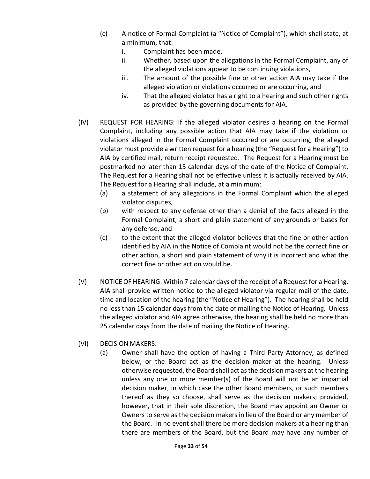- (c) A notice of Formal Complaint (a "Notice of Complaint"), which shall state, at a minimum, that:
	- i. Complaint has been made,
	- ii. Whether, based upon the allegations in the Formal Complaint, any of the alleged violations appear to be continuing violations,
	- iii. The amount of the possible fine or other action AIA may take if the alleged violation or violations occurred or are occurring, and
	- iv. That the alleged violator has a right to a hearing and such other rights as provided by the governing documents for AIA.
- (IV) REQUEST FOR HEARING: If the alleged violator desires a hearing on the Formal Complaint, including any possible action that AIA may take if the violation or violations alleged in the Formal Complaint occurred or are occurring, the alleged violator must provide a written request for a hearing (the "Request for a Hearing") to AIA by certified mail, return receipt requested. The Request for a Hearing must be postmarked no later than 15 calendar days of the date of the Notice of Complaint. The Request for a Hearing shall not be effective unless it is actually received by AIA. The Request for a Hearing shall include, at a minimum:
	- (a) a statement of any allegations in the Formal Complaint which the alleged violator disputes,
	- (b) with respect to any defense other than a denial of the facts alleged in the Formal Complaint, a short and plain statement of any grounds or bases for any defense, and
	- (c) to the extent that the alleged violator believes that the fine or other action identified by AIA in the Notice of Complaint would not be the correct fine or other action, a short and plain statement of why it is incorrect and what the correct fine or other action would be.
- (V) NOTICEOF HEARING: Within 7 calendar days of the receipt of a Request for a Hearing, AIA shall provide written notice to the alleged violator via regular mail of the date, time and location of the hearing (the "Notice of Hearing"). The hearing shall be held no less than 15 calendar days from the date of mailing the Notice of Hearing. Unless the alleged violator and AIA agree otherwise, the hearing shall be held no more than 25 calendar days from the date of mailing the Notice of Hearing.
- (VI) DECISION MAKERS:
	- (a) Owner shall have the option of having a Third Party Attorney, as defined below, or the Board act as the decision maker at the hearing. Unless otherwise requested, the Board shall act as the decision makers at the hearing unless any one or more member(s) of the Board will not be an impartial decision maker, in which case the other Board members, or such members thereof as they so choose, shall serve as the decision makers; provided, however, that in their sole discretion, the Board may appoint an Owner or Owners to serve as the decision makers in lieu of the Board or any member of the Board. In no event shall there be more decision makers at a hearing than there are members of the Board, but the Board may have any number of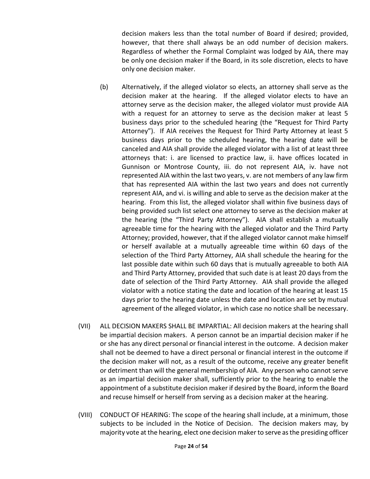decision makers less than the total number of Board if desired; provided, however, that there shall always be an odd number of decision makers. Regardless of whether the Formal Complaint was lodged by AIA, there may be only one decision maker if the Board, in its sole discretion, elects to have only one decision maker.

- (b) Alternatively, if the alleged violator so elects, an attorney shall serve as the decision maker at the hearing. If the alleged violator elects to have an attorney serve as the decision maker, the alleged violator must provide AIA with a request for an attorney to serve as the decision maker at least 5 business days prior to the scheduled hearing (the "Request for Third Party Attorney"). If AIA receives the Request for Third Party Attorney at least 5 business days prior to the scheduled hearing, the hearing date will be canceled and AIA shall provide the alleged violator with a list of at least three attorneys that: i. are licensed to practice law, ii. have offices located in Gunnison or Montrose County, iii. do not represent AIA, iv. have not represented AIA within the last two years, v. are not members of any law firm that has represented AIA within the last two years and does not currently represent AIA, and vi. is willing and able to serve as the decision maker at the hearing. From this list, the alleged violator shall within five business days of being provided such list select one attorney to serve as the decision maker at the hearing (the "Third Party Attorney"). AIA shall establish a mutually agreeable time for the hearing with the alleged violator and the Third Party Attorney; provided, however, that if the alleged violator cannot make himself or herself available at a mutually agreeable time within 60 days of the selection of the Third Party Attorney, AIA shall schedule the hearing for the last possible date within such 60 days that is mutually agreeable to both AIA and Third Party Attorney, provided that such date is at least 20 days from the date of selection of the Third Party Attorney. AIA shall provide the alleged violator with a notice stating the date and location of the hearing at least 15 days prior to the hearing date unless the date and location are set by mutual agreement of the alleged violator, in which case no notice shall be necessary.
- (VII) ALL DECISION MAKERS SHALL BE IMPARTIAL: All decision makers at the hearing shall be impartial decision makers. A person cannot be an impartial decision maker if he or she has any direct personal or financial interest in the outcome. A decision maker shall not be deemed to have a direct personal or financial interest in the outcome if the decision maker will not, as a result of the outcome, receive any greater benefit or detriment than will the general membership of AIA. Any person who cannot serve as an impartial decision maker shall, sufficiently prior to the hearing to enable the appointment of a substitute decision maker if desired by the Board, inform the Board and recuse himself or herself from serving as a decision maker at the hearing.
- (VIII) CONDUCT OF HEARING: The scope of the hearing shall include, at a minimum, those subjects to be included in the Notice of Decision. The decision makers may, by majority vote at the hearing, elect one decision maker to serve as the presiding officer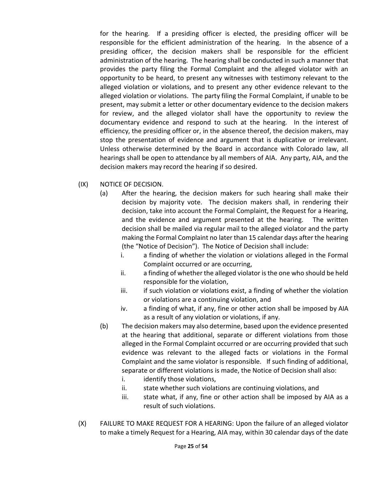for the hearing. If a presiding officer is elected, the presiding officer will be responsible for the efficient administration of the hearing. In the absence of a presiding officer, the decision makers shall be responsible for the efficient administration of the hearing. The hearing shall be conducted in such a manner that provides the party filing the Formal Complaint and the alleged violator with an opportunity to be heard, to present any witnesses with testimony relevant to the alleged violation or violations, and to present any other evidence relevant to the alleged violation or violations. The party filing the Formal Complaint, if unable to be present, may submit a letter or other documentary evidence to the decision makers for review, and the alleged violator shall have the opportunity to review the documentary evidence and respond to such at the hearing. In the interest of efficiency, the presiding officer or, in the absence thereof, the decision makers, may stop the presentation of evidence and argument that is duplicative or irrelevant. Unless otherwise determined by the Board in accordance with Colorado law, all hearings shall be open to attendance by all members of AIA. Any party, AIA, and the decision makers may record the hearing if so desired.

- (IX) NOTICE OF DECISION.
	- (a) After the hearing, the decision makers for such hearing shall make their decision by majority vote. The decision makers shall, in rendering their decision, take into account the Formal Complaint, the Request for a Hearing, and the evidence and argument presented at the hearing. The written decision shall be mailed via regular mail to the alleged violator and the party making the Formal Complaint no later than 15 calendar days after the hearing (the "Notice of Decision"). The Notice of Decision shall include:
		- i. a finding of whether the violation or violations alleged in the Formal Complaint occurred or are occurring,
		- ii. a finding of whether the alleged violator is the one who should be held responsible for the violation,
		- iii. if such violation or violations exist, a finding of whether the violation or violations are a continuing violation, and
		- iv. a finding of what, if any, fine or other action shall be imposed by AIA as a result of any violation or violations, if any.
	- (b) The decision makers may also determine, based upon the evidence presented at the hearing that additional, separate or different violations from those alleged in the Formal Complaint occurred or are occurring provided that such evidence was relevant to the alleged facts or violations in the Formal Complaint and the same violator is responsible. If such finding of additional, separate or different violations is made, the Notice of Decision shall also:
		- i. identify those violations,
		- ii. state whether such violations are continuing violations, and
		- iii. state what, if any, fine or other action shall be imposed by AIA as a result of such violations.
- (X) FAILURE TO MAKE REQUEST FOR A HEARING: Upon the failure of an alleged violator to make a timely Request for a Hearing, AIA may, within 30 calendar days of the date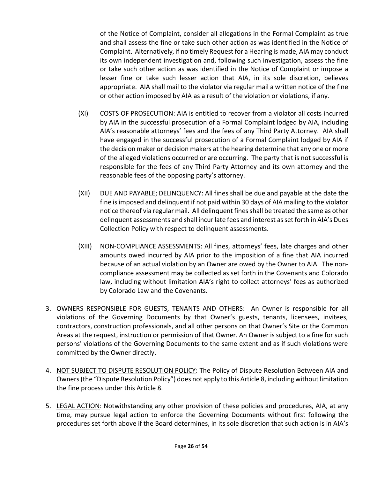of the Notice of Complaint, consider all allegations in the Formal Complaint as true and shall assess the fine or take such other action as was identified in the Notice of Complaint. Alternatively, if no timely Request for a Hearing is made, AIA may conduct its own independent investigation and, following such investigation, assess the fine or take such other action as was identified in the Notice of Complaint or impose a lesser fine or take such lesser action that AIA, in its sole discretion, believes appropriate. AIA shall mail to the violator via regular mail a written notice of the fine or other action imposed by AIA as a result of the violation or violations, if any.

- (XI) COSTS OF PROSECUTION: AIA is entitled to recover from a violator all costs incurred by AIA in the successful prosecution of a Formal Complaint lodged by AIA, including AIA's reasonable attorneys' fees and the fees of any Third Party Attorney. AIA shall have engaged in the successful prosecution of a Formal Complaint lodged by AIA if the decision maker or decision makers at the hearing determine that any one or more of the alleged violations occurred or are occurring. The party that is not successful is responsible for the fees of any Third Party Attorney and its own attorney and the reasonable fees of the opposing party's attorney.
- (XII) DUE AND PAYABLE; DELINQUENCY: All fines shall be due and payable at the date the fine is imposed and delinquent if not paid within 30 days of AIA mailing to the violator notice thereof via regular mail. All delinquent fines shall be treated the same as other delinquent assessments and shall incurlate fees and interest as set forth in AIA's Dues Collection Policy with respect to delinquent assessments.
- (XIII) NON-COMPLIANCE ASSESSMENTS: All fines, attorneys' fees, late charges and other amounts owed incurred by AIA prior to the imposition of a fine that AIA incurred because of an actual violation by an Owner are owed by the Owner to AIA. The noncompliance assessment may be collected as set forth in the Covenants and Colorado law, including without limitation AIA's right to collect attorneys' fees as authorized by Colorado Law and the Covenants.
- 3. OWNERS RESPONSIBLE FOR GUESTS, TENANTS AND OTHERS: An Owner is responsible for all violations of the Governing Documents by that Owner's guests, tenants, licensees, invitees, contractors, construction professionals, and all other persons on that Owner's Site or the Common Areas at the request, instruction or permission of that Owner. An Owner is subject to a fine for such persons' violations of the Governing Documents to the same extent and as if such violations were committed by the Owner directly.
- 4. NOT SUBJECT TO DISPUTE RESOLUTION POLICY: The Policy of Dispute Resolution Between AIA and Owners (the "Dispute Resolution Policy") does not apply to this Article 8, including without limitation the fine process under this Article 8.
- 5. LEGAL ACTION: Notwithstanding any other provision of these policies and procedures, AIA, at any time, may pursue legal action to enforce the Governing Documents without first following the procedures set forth above if the Board determines, in its sole discretion that such action is in AIA's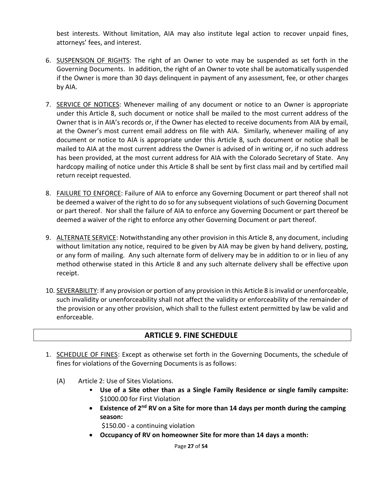best interests. Without limitation, AIA may also institute legal action to recover unpaid fines, attorneys' fees, and interest.

- 6. SUSPENSION OF RIGHTS: The right of an Owner to vote may be suspended as set forth in the Governing Documents. In addition, the right of an Owner to vote shall be automatically suspended if the Owner is more than 30 days delinquent in payment of any assessment, fee, or other charges by AIA.
- 7. SERVICE OF NOTICES: Whenever mailing of any document or notice to an Owner is appropriate under this Article 8, such document or notice shall be mailed to the most current address of the Owner that is in AIA's records or, if the Owner has elected to receive documents from AIA by email, at the Owner's most current email address on file with AIA. Similarly, whenever mailing of any document or notice to AIA is appropriate under this Article 8, such document or notice shall be mailed to AIA at the most current address the Owner is advised of in writing or, if no such address has been provided, at the most current address for AIA with the Colorado Secretary of State. Any hardcopy mailing of notice under this Article 8 shall be sent by first class mail and by certified mail return receipt requested.
- 8. FAILURE TO ENFORCE: Failure of AIA to enforce any Governing Document or part thereof shall not be deemed a waiver of the right to do so for any subsequent violations of such Governing Document or part thereof. Nor shall the failure of AIA to enforce any Governing Document or part thereof be deemed a waiver of the right to enforce any other Governing Document or part thereof.
- 9. ALTERNATE SERVICE: Notwithstanding any other provision in this Article 8, any document, including without limitation any notice, required to be given by AIA may be given by hand delivery, posting, or any form of mailing. Any such alternate form of delivery may be in addition to or in lieu of any method otherwise stated in this Article 8 and any such alternate delivery shall be effective upon receipt.
- 10. SEVERABILITY: If any provision or portion of any provision in this Article 8 is invalid or unenforceable, such invalidity or unenforceability shall not affect the validity or enforceability of the remainder of the provision or any other provision, which shall to the fullest extent permitted by law be valid and enforceable.

# **ARTICLE 9. FINE SCHEDULE**

- <span id="page-26-0"></span>1. SCHEDULE OF FINES: Except as otherwise set forth in the Governing Documents, the schedule of fines for violations of the Governing Documents is as follows:
	- (A) Article 2: Use of Sites Violations.
		- **Use of a Site other than as a Single Family Residence or single family campsite:**  \$1000.00 for First Violation
		- **Existence of 2nd RV on a Site for more than 14 days per month during the camping season:**

\$150.00 - a continuing violation

• **Occupancy of RV on homeowner Site for more than 14 days a month:**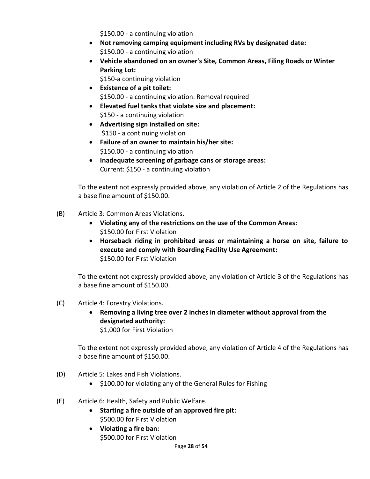\$150.00 - a continuing violation

- **Not removing camping equipment including RVs by designated date:**  \$150.00 - a continuing violation
- **Vehicle abandoned on an owner's Site, Common Areas, Filing Roads or Winter Parking Lot:**

\$150-a continuing violation

- **Existence of a pit toilet:**  \$150.00 - a continuing violation. Removal required
- **Elevated fuel tanks that violate size and placement:**  \$150 - a continuing violation
- **Advertising sign installed on site:**  \$150 - a continuing violation
- **Failure of an owner to maintain his/her site:**  \$150.00 - a continuing violation
- **Inadequate screening of garbage cans or storage areas:**  Current: \$150 - a continuing violation

To the extent not expressly provided above, any violation of Article 2 of the Regulations has a base fine amount of \$150.00.

- (B) Article 3: Common Areas Violations.
	- **Violating any of the restrictions on the use of the Common Areas:** \$150.00 for First Violation
	- **Horseback riding in prohibited areas or maintaining a horse on site, failure to execute and comply with Boarding Facility Use Agreement:** \$150.00 for First Violation

To the extent not expressly provided above, any violation of Article 3 of the Regulations has a base fine amount of \$150.00.

- (C) Article 4: Forestry Violations.
	- **Removing a living tree over 2 inches in diameter without approval from the designated authority:** \$1,000 for First Violation

To the extent not expressly provided above, any violation of Article 4 of the Regulations has a base fine amount of \$150.00.

- (D) Article 5: Lakes and Fish Violations.
	- \$100.00 for violating any of the General Rules for Fishing
- (E) Article 6: Health, Safety and Public Welfare.
	- **Starting a fire outside of an approved fire pit:**  \$500.00 for First Violation
	- **Violating a fire ban:**  \$500.00 for First Violation

Page **28** of **54**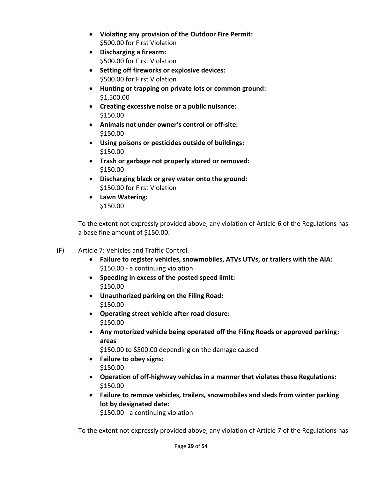- **Violating any provision of the Outdoor Fire Permit:** \$500.00 for First Violation
- **Discharging a firearm:**  \$500.00 for First Violation
- **Setting off fireworks or explosive devices:** \$500.00 for First Violation
- **Hunting or trapping on private lots or common ground:**  \$1,500.00
- **Creating excessive noise or a public nuisance:**  \$150.00
- **Animals not under owner's control or off-site:**  \$150.00
- **Using poisons or pesticides outside of buildings:**  \$150.00
- **Trash or garbage not properly stored or removed:**  \$150.00
- **Discharging black or grey water onto the ground:** \$150.00 for First Violation
- **Lawn Watering:**  \$150.00

To the extent not expressly provided above, any violation of Article 6 of the Regulations has a base fine amount of \$150.00.

- (F) Article 7: Vehicles and Traffic Control.
	- **Failure to register vehicles, snowmobiles, ATVs UTVs, or trailers with the AIA:** \$150.00 - a continuing violation
	- **Speeding in excess of the posted speed limit:**  \$150.00
	- **Unauthorized parking on the Filing Road:** \$150.00
	- **Operating street vehicle after road closure:** \$150.00
	- **Any motorized vehicle being operated off the Filing Roads or approved parking: areas**

\$150.00 to \$500.00 depending on the damage caused

- **Failure to obey signs:** \$150.00
- **Operation of off-highway vehicles in a manner that violates these Regulations:**  \$150.00
- **Failure to remove vehicles, trailers, snowmobiles and sleds from winter parking lot by designated date:**

\$150.00 - a continuing violation

To the extent not expressly provided above, any violation of Article 7 of the Regulations has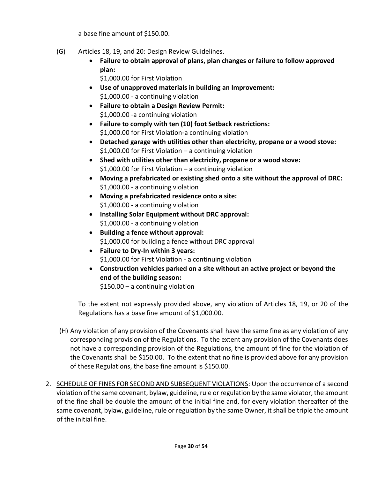a base fine amount of \$150.00.

- (G) Articles 18, 19, and 20: Design Review Guidelines.
	- **Failure to obtain approval of plans, plan changes or failure to follow approved plan:**

\$1,000.00 for First Violation

- **Use of unapproved materials in building an Improvement:**  \$1,000.00 - a continuing violation
- **Failure to obtain a Design Review Permit:**  \$1,000.00 -a continuing violation
- **Failure to comply with ten (10) foot Setback restrictions:**  \$1,000.00 for First Violation-a continuing violation
- **Detached garage with utilities other than electricity, propane or a wood stove:**  \$1,000.00 for First Violation – a continuing violation
- **Shed with utilities other than electricity, propane or a wood stove:**  \$1,000.00 for First Violation – a continuing violation
- **Moving a prefabricated or existing shed onto a site without the approval of DRC:**  \$1,000.00 - a continuing violation
- **Moving a prefabricated residence onto a site:** \$1,000.00 - a continuing violation
- **Installing Solar Equipment without DRC approval:**  \$1,000.00 - a continuing violation
- **Building a fence without approval:**  \$1,000.00 for building a fence without DRC approval
- **Failure to Dry-In within 3 years:** \$1,000.00 for First Violation - a continuing violation
- **Construction vehicles parked on a site without an active project or beyond the end of the building season:**

\$150.00 – a continuing violation

To the extent not expressly provided above, any violation of Articles 18, 19, or 20 of the Regulations has a base fine amount of \$1,000.00.

- (H) Any violation of any provision of the Covenants shall have the same fine as any violation of any corresponding provision of the Regulations. To the extent any provision of the Covenants does not have a corresponding provision of the Regulations, the amount of fine for the violation of the Covenants shall be \$150.00. To the extent that no fine is provided above for any provision of these Regulations, the base fine amount is \$150.00.
- 2. SCHEDULE OF FINES FOR SECOND AND SUBSEQUENT VIOLATIONS: Upon the occurrence of a second violation of the same covenant, bylaw, guideline, rule or regulation by the same violator, the amount of the fine shall be double the amount of the initial fine and, for every violation thereafter of the same covenant, bylaw, guideline, rule or regulation by the same Owner, it shall be triple the amount of the initial fine.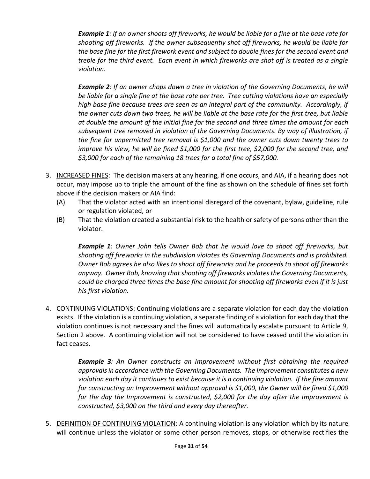*Example 1: If an owner shoots off fireworks, he would be liable for a fine at the base rate for shooting off fireworks. If the owner subsequently shot off fireworks, he would be liable for the base fine for the first firework event and subject to double fines for the second event and treble for the third event. Each event in which fireworks are shot off is treated as a single violation.* 

*Example 2: If an owner chops down a tree in violation of the Governing Documents, he will be liable for a single fine at the base rate per tree. Tree cutting violations have an especially high base fine because trees are seen as an integral part of the community. Accordingly, if the owner cuts down two trees, he will be liable at the base rate for the first tree, but liable at double the amount of the initial fine for the second and three times the amount for each subsequent tree removed in violation of the Governing Documents. By way of illustration, if the fine for unpermitted tree removal is \$1,000 and the owner cuts down twenty trees to improve his view, he will be fined \$1,000 for the first tree, \$2,000 for the second tree, and \$3,000 for each of the remaining 18 trees for a total fine of \$57,000.*

- 3. INCREASED FINES: The decision makers at any hearing, if one occurs, and AIA, if a hearing does not occur, may impose up to triple the amount of the fine as shown on the schedule of fines set forth above if the decision makers or AIA find:
	- (A) That the violator acted with an intentional disregard of the covenant, bylaw, guideline, rule or regulation violated, or
	- (B) That the violation created a substantial risk to the health or safety of persons other than the violator.

*Example 1: Owner John tells Owner Bob that he would love to shoot off fireworks, but shooting off fireworks in the subdivision violates its Governing Documents and is prohibited. Owner Bob agrees he also likes to shoot off fireworks and he proceeds to shoot off fireworks anyway. Owner Bob, knowing that shooting off fireworks violates the Governing Documents, could be charged three times the base fine amount for shooting off fireworks even if it is just his first violation.*

4. CONTINUING VIOLATIONS: Continuing violations are a separate violation for each day the violation exists. If the violation is a continuing violation, a separate finding of a violation for each day that the violation continues is not necessary and the fines will automatically escalate pursuant to Article 9, Section 2 above. A continuing violation will not be considered to have ceased until the violation in fact ceases.

> *Example 3: An Owner constructs an Improvement without first obtaining the required approvals in accordance with the Governing Documents. The Improvement constitutes a new violation each day it continues to exist because it is a continuing violation. If the fine amount for constructing an Improvement without approval is \$1,000, the Owner will be fined \$1,000 for the day the Improvement is constructed, \$2,000 for the day after the Improvement is constructed, \$3,000 on the third and every day thereafter.*

5. DEFINITION OF CONTINUING VIOLATION: A continuing violation is any violation which by its nature will continue unless the violator or some other person removes, stops, or otherwise rectifies the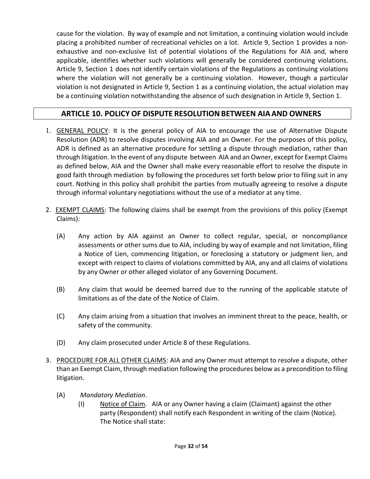cause for the violation. By way of example and not limitation, a continuing violation would include placing a prohibited number of recreational vehicles on a lot. Article 9, Section 1 provides a nonexhaustive and non-exclusive list of potential violations of the Regulations for AIA and, where applicable, identifies whether such violations will generally be considered continuing violations. Article 9, Section 1 does not identify certain violations of the Regulations as continuing violations where the violation will not generally be a continuing violation. However, though a particular violation is not designated in Article 9, Section 1 as a continuing violation, the actual violation may be a continuing violation notwithstanding the absence of such designation in Article 9, Section 1.

# **ARTICLE 10. POLICY OF DISPUTE RESOLUTIONBETWEEN AIAAND OWNERS**

- <span id="page-31-0"></span>1. GENERAL POLICY: It is the general policy of AIA to encourage the use of Alternative Dispute Resolution (ADR) to resolve disputes involving AIA and an Owner. For the purposes of this policy, ADR is defined as an alternative procedure for settling a dispute through mediation, rather than through litigation. In the event of any dispute between AIA and an Owner, except for Exempt Claims as defined below, AIA and the Owner shall make every reasonable effort to resolve the dispute in good faith through mediation by following the procedures set forth below prior to filing suit in any court. Nothing in this policy shall prohibit the parties from mutually agreeing to resolve a dispute through informal voluntary negotiations without the use of a mediator at any time.
- 2. EXEMPT CLAIMS: The following claims shall be exempt from the provisions of this policy (Exempt Claims):
	- (A) Any action by AIA against an Owner to collect regular, special, or noncompliance assessments or other sums due to AIA, including by way of example and not limitation, filing a Notice of Lien, commencing litigation, or foreclosing a statutory or judgment lien, and except with respect to claims of violations committed by AIA, any and all claims of violations by any Owner or other alleged violator of any Governing Document.
	- (B) Any claim that would be deemed barred due to the running of the applicable statute of limitations as of the date of the Notice of Claim.
	- (C) Any claim arising from a situation that involves an imminent threat to the peace, health, or safety of the community.
	- (D) Any claim prosecuted under Article 8 of these Regulations.
- 3. PROCEDURE FOR ALL OTHER CLAIMS: AIA and any Owner must attempt to resolve a dispute, other than an Exempt Claim, through mediation following the procedures below as a precondition to filing litigation.
	- (A) *Mandatory Mediation*.
		- (I) Notice of Claim. AIA or any Owner having a claim (Claimant) against the other party (Respondent) shall notify each Respondent in writing of the claim (Notice). The Notice shall state: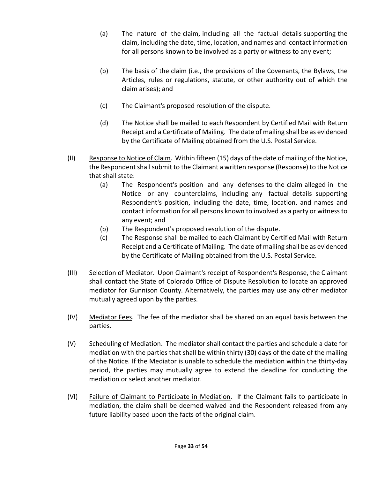- (a) The nature of the claim, including all the factual details supporting the claim, including the date, time, location, and names and contact information for all persons known to be involved as a party or witness to any event;
- (b) The basis of the claim (i.e., the provisions of the Covenants, the Bylaws, the Articles, rules or regulations, statute, or other authority out of which the claim arises); and
- (c) The Claimant's proposed resolution of the dispute.
- (d) The Notice shall be mailed to each Respondent by Certified Mail with Return Receipt and a Certificate of Mailing. The date of mailing shall be as evidenced by the Certificate of Mailing obtained from the U.S. Postal Service.
- (II) Response to Notice of Claim. Within fifteen (15) days of the date of mailing of the Notice, the Respondent shall submit to the Claimant a written response (Response) to the Notice that shall state:
	- (a) The Respondent's position and any defenses to the claim alleged in the Notice or any counterclaims, including any factual details supporting Respondent's position, including the date, time, location, and names and contact information for all persons known to involved as a party or witness to any event; and
	- (b) The Respondent's proposed resolution of the dispute.
	- (c) The Response shall be mailed to each Claimant by Certified Mail with Return Receipt and a Certificate of Mailing. The date of mailing shall be as evidenced by the Certificate of Mailing obtained from the U.S. Postal Service.
- (III) Selection of Mediator. Upon Claimant's receipt of Respondent's Response, the Claimant shall contact the State of Colorado Office of Dispute Resolution to locate an approved mediator for Gunnison County. Alternatively, the parties may use any other mediator mutually agreed upon by the parties.
- (IV) Mediator Fees. The fee of the mediator shall be shared on an equal basis between the parties.
- (V) Scheduling of Mediation. The mediator shall contact the parties and schedule a date for mediation with the parties that shall be within thirty (30) days of the date of the mailing of the Notice. If the Mediator is unable to schedule the mediation within the thirty-day period, the parties may mutually agree to extend the deadline for conducting the mediation or select another mediator.
- (VI) Failure of Claimant to Participate in Mediation. If the Claimant fails to participate in mediation, the claim shall be deemed waived and the Respondent released from any future liability based upon the facts of the original claim.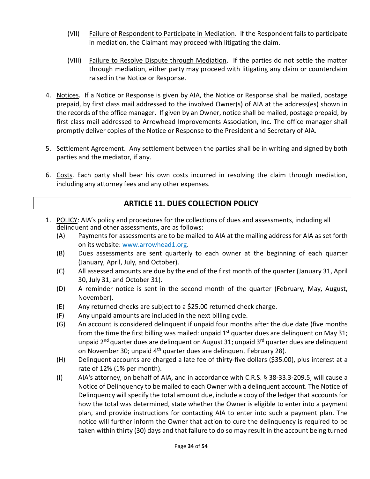- (VII) Failure of Respondent to Participate in Mediation. If the Respondent fails to participate in mediation, the Claimant may proceed with litigating the claim.
- (VIII) Failure to Resolve Dispute through Mediation. If the parties do not settle the matter through mediation, either party may proceed with litigating any claim or counterclaim raised in the Notice or Response.
- 4. Notices. If a Notice or Response is given by AIA, the Notice or Response shall be mailed, postage prepaid, by first class mail addressed to the involved Owner(s) of AIA at the address(es) shown in the records of the office manager. If given by an Owner, notice shall be mailed, postage prepaid, by first class mail addressed to Arrowhead Improvements Association, Inc. The office manager shall promptly deliver copies of the Notice or Response to the President and Secretary of AIA.
- 5. Settlement Agreement. Any settlement between the parties shall be in writing and signed by both parties and the mediator, if any.
- 6. Costs. Each party shall bear his own costs incurred in resolving the claim through mediation, including any attorney fees and any other expenses.

# **ARTICLE 11. DUES COLLECTION POLICY**

- <span id="page-33-0"></span>1. POLICY: AIA's policy and procedures for the collections of dues and assessments, including all delinquent and other assessments, are as follows:
	- (A) Payments for assessments are to be mailed to AIA at the mailing address for AIA as set forth on its website: [www.arrowhead1.org.](http://www.arrowhead1.org/)
	- (B) Dues assessments are sent quarterly to each owner at the beginning of each quarter (January, April, July, and October).
	- (C) All assessed amounts are due by the end of the first month of the quarter (January 31, April 30, July 31, and October 31).
	- (D) A reminder notice is sent in the second month of the quarter (February, May, August, November).
	- (E) Any returned checks are subject to a \$25.00 returned check charge.
	- (F) Any unpaid amounts are included in the next billing cycle.
	- (G) An account is considered delinquent if unpaid four months after the due date (five months from the time the first billing was mailed: unpaid  $1<sup>st</sup>$  quarter dues are delinquent on May 31; unpaid 2<sup>nd</sup> quarter dues are delinquent on August 31; unpaid 3<sup>rd</sup> quarter dues are delinquent on November 30; unpaid 4<sup>th</sup> quarter dues are delinquent February 28).
	- (H) Delinquent accounts are charged a late fee of thirty-five dollars (\$35.00), plus interest at a rate of 12% (1% per month).
	- (I) AIA's attorney, on behalf of AIA, and in accordance with C.R.S. § 38-33.3-209.5, will cause a Notice of Delinquency to be mailed to each Owner with a delinquent account. The Notice of Delinquency will specify the total amount due, include a copy of the ledger that accounts for how the total was determined, state whether the Owner is eligible to enter into a payment plan, and provide instructions for contacting AIA to enter into such a payment plan. The notice will further inform the Owner that action to cure the delinquency is required to be taken within thirty (30) days and that failure to do so may result in the account being turned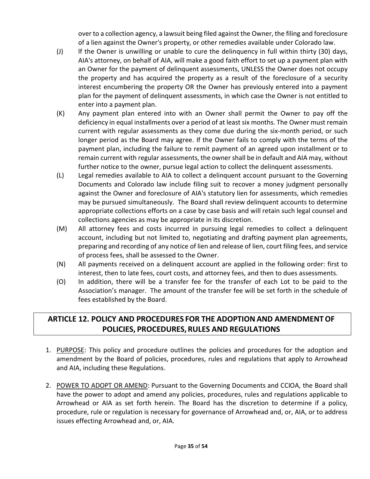over to a collection agency, a lawsuit being filed against the Owner, the filing and foreclosure of a lien against the Owner's property, or other remedies available under Colorado law.

- (J) lf the Owner is unwilling or unable to cure the delinquency in full within thirty (30) days, AIA's attorney, on behalf of AIA, will make a good faith effort to set up a payment plan with an Owner for the payment of delinquent assessments, UNLESS the Owner does not occupy the property and has acquired the property as a result of the foreclosure of a security interest encumbering the property OR the Owner has previously entered into a payment plan for the payment of delinquent assessments, in which case the Owner is not entitled to enter into a payment plan.
- (K) Any payment plan entered into with an Owner shall permit the Owner to pay off the deficiency in equal installments over a period of at least six months. The Owner must remain current with regular assessments as they come due during the six-month period, or such longer period as the Board may agree. If the Owner fails to comply with the terms of the payment plan, including the failure to remit payment of an agreed upon installment or to remain current with regular assessments, the owner shall be in default and AIA may, without further notice to the owner, pursue legal action to collect the delinquent assessments.
- (L) Legal remedies available to AIA to collect a delinquent account pursuant to the Governing Documents and Colorado law include filing suit to recover a money judgment personally against the Owner and foreclosure of AIA's statutory lien for assessments, which remedies may be pursued simultaneously. The Board shall review delinquent accounts to determine appropriate collections efforts on a case by case basis and will retain such legal counsel and collections agencies as may be appropriate in its discretion.
- (M) All attorney fees and costs incurred in pursuing legal remedies to collect a delinquent account, including but not limited to, negotiating and drafting payment plan agreements, preparing and recording of any notice of lien and release of lien, court filing fees, and service of process fees, shall be assessed to the Owner.
- (N) All payments received on a delinquent account are applied in the following order: first to interest, then to late fees, court costs, and attorney fees, and then to dues assessments.
- (O) In addition, there will be a transfer fee for the transfer of each Lot to be paid to the Association's manager. The amount of the transfer fee will be set forth in the schedule of fees established by the Board.

# <span id="page-34-0"></span>**ARTICLE 12. POLICY AND PROCEDURES FOR THE ADOPTION AND AMENDMENTOF POLICIES, PROCEDURES, RULES AND REGULATIONS**

- 1. PURPOSE: This policy and procedure outlines the policies and procedures for the adoption and amendment by the Board of policies, procedures, rules and regulations that apply to Arrowhead and AIA, including these Regulations.
- 2. POWER TO ADOPT OR AMEND: Pursuant to the Governing Documents and CCIOA, the Board shall have the power to adopt and amend any policies, procedures, rules and regulations applicable to Arrowhead or AIA as set forth herein. The Board has the discretion to determine if a policy, procedure, rule or regulation is necessary for governance of Arrowhead and, or, AIA, or to address issues effecting Arrowhead and, or, AIA.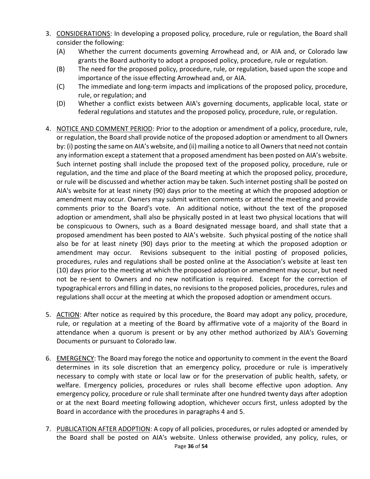- 3. CONSIDERATIONS: In developing a proposed policy, procedure, rule or regulation, the Board shall consider the following:
	- (A) Whether the current documents governing Arrowhead and, or AIA and, or Colorado law grants the Board authority to adopt a proposed policy, procedure, rule or regulation.
	- (B) The need for the proposed policy, procedure, rule, or regulation, based upon the scope and importance of the issue effecting Arrowhead and, or AIA.
	- (C) The immediate and long-term impacts and implications of the proposed policy, procedure, rule, or regulation; and
	- (D) Whether a conflict exists between AIA's governing documents, applicable local, state or federal regulations and statutes and the proposed policy, procedure, rule, or regulation.
- 4. NOTICE AND COMMENT PERIOD: Prior to the adoption or amendment of a policy, procedure, rule, or regulation, the Board shall provide notice of the proposed adoption or amendment to all Owners by: (i) posting the same on AIA's website, and (ii) mailing a notice to all Owners that need not contain any information except a statement that a proposed amendment has been posted on AIA's website. Such internet posting shall include the proposed text of the proposed policy, procedure, rule or regulation, and the time and place of the Board meeting at which the proposed policy, procedure, or rule will be discussed and whether action may be taken. Such internet posting shall be posted on AIA's website for at least ninety (90) days prior to the meeting at which the proposed adoption or amendment may occur. Owners may submit written comments or attend the meeting and provide comments prior to the Board's vote. An additional notice, without the text of the proposed adoption or amendment, shall also be physically posted in at least two physical locations that will be conspicuous to Owners, such as a Board designated message board, and shall state that a proposed amendment has been posted to AIA's website. Such physical posting of the notice shall also be for at least ninety (90) days prior to the meeting at which the proposed adoption or amendment may occur. Revisions subsequent to the initial posting of proposed policies, procedures, rules and regulations shall be posted online at the Association's website at least ten (10) days prior to the meeting at which the proposed adoption or amendment may occur, but need not be re-sent to Owners and no new notification is required. Except for the correction of typographical errors and filling in dates, no revisions to the proposed policies, procedures, rules and regulations shall occur at the meeting at which the proposed adoption or amendment occurs.
- 5. ACTION: After notice as required by this procedure, the Board may adopt any policy, procedure, rule, or regulation at a meeting of the Board by affirmative vote of a majority of the Board in attendance when a quorum is present or by any other method authorized by AIA's Governing Documents or pursuant to Colorado law.
- 6. EMERGENCY: The Board may forego the notice and opportunity to comment in the event the Board determines in its sole discretion that an emergency policy, procedure or rule is imperatively necessary to comply with state or local law or for the preservation of public health, safety, or welfare. Emergency policies, procedures or rules shall become effective upon adoption. Any emergency policy, procedure or rule shall terminate after one hundred twenty days after adoption or at the next Board meeting following adoption, whichever occurs first, unless adopted by the Board in accordance with the procedures in paragraphs 4 and 5.
- Page **36** of **54** 7. PUBLICATION AFTER ADOPTION: A copy of all policies, procedures, or rules adopted or amended by the Board shall be posted on AIA's website. Unless otherwise provided, any policy, rules, or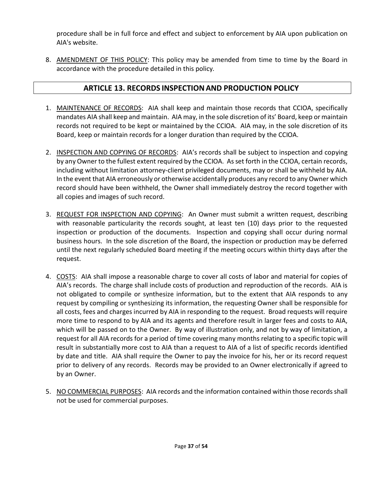procedure shall be in full force and effect and subject to enforcement by AIA upon publication on AIA's website.

8. AMENDMENT OF THIS POLICY: This policy may be amended from time to time by the Board in accordance with the procedure detailed in this policy.

# **ARTICLE 13. RECORDS INSPECTIONAND PRODUCTION POLICY**

- <span id="page-36-0"></span>1. MAINTENANCE OF RECORDS: AIA shall keep and maintain those records that CCIOA, specifically mandates AIA shall keep and maintain. AIA may, in the sole discretion of its' Board, keep or maintain records not required to be kept or maintained by the CCIOA. AIA may, in the sole discretion of its Board, keep or maintain records for a longer duration than required by the CCIOA.
- 2. INSPECTION AND COPYING OF RECORDS: AIA's records shall be subject to inspection and copying by any Owner to the fullest extent required by the CCIOA. As set forth in the CCIOA, certain records, including without limitation attorney-client privileged documents, may or shall be withheld by AIA. In the event that AIA erroneously or otherwise accidentally produces any record to any Owner which record should have been withheld, the Owner shall immediately destroy the record together with all copies and images of such record.
- 3. REQUEST FOR INSPECTION AND COPYING: An Owner must submit a written request, describing with reasonable particularity the records sought, at least ten (10) days prior to the requested inspection or production of the documents. Inspection and copying shall occur during normal business hours. In the sole discretion of the Board, the inspection or production may be deferred until the next regularly scheduled Board meeting if the meeting occurs within thirty days after the request.
- 4. COSTS: AIA shall impose a reasonable charge to cover all costs of labor and material for copies of AIA's records. The charge shall include costs of production and reproduction of the records. AIA is not obligated to compile or synthesize information, but to the extent that AIA responds to any request by compiling or synthesizing its information, the requesting Owner shall be responsible for all costs, fees and charges incurred by AIA in responding to the request. Broad requests will require more time to respond to by AIA and its agents and therefore result in larger fees and costs to AIA, which will be passed on to the Owner. By way of illustration only, and not by way of limitation, a request for all AIA records for a period of time covering many months relating to a specific topic will result in substantially more cost to AIA than a request to AIA of a list of specific records identified by date and title. AIA shall require the Owner to pay the invoice for his, her or its record request prior to delivery of any records. Records may be provided to an Owner electronically if agreed to by an Owner.
- 5. NO COMMERCIAL PURPOSES: AIA records and the information contained within those records shall not be used for commercial purposes.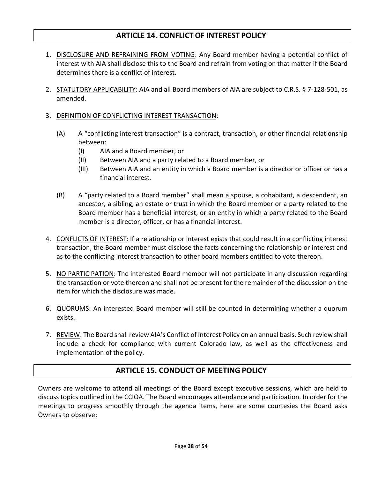## **ARTICLE 14. CONFLICT OF INTEREST POLICY**

- <span id="page-37-0"></span>1. DISCLOSURE AND REFRAINING FROM VOTING: Any Board member having a potential conflict of interest with AIA shall disclose this to the Board and refrain from voting on that matter if the Board determines there is a conflict of interest.
- 2. STATUTORY APPLICABILITY: AIA and all Board members of AIA are subject to C.R.S. § 7-128-501, as amended.
- 3. DEFINITION OF CONFLICTING INTEREST TRANSACTION:
	- (A) A "conflicting interest transaction" is a contract, transaction, or other financial relationship between:
		- (I) AIA and a Board member, or
		- (II) Between AIA and a party related to a Board member, or
		- (III) Between AIA and an entity in which a Board member is a director or officer or has a financial interest.
	- (B) A "party related to a Board member" shall mean a spouse, a cohabitant, a descendent, an ancestor, a sibling, an estate or trust in which the Board member or a party related to the Board member has a beneficial interest, or an entity in which a party related to the Board member is a director, officer, or has a financial interest.
- 4. CONFLICTS OF INTEREST: If a relationship or interest exists that could result in a conflicting interest transaction, the Board member must disclose the facts concerning the relationship or interest and as to the conflicting interest transaction to other board members entitled to vote thereon.
- 5. NO PARTICIPATION: The interested Board member will not participate in any discussion regarding the transaction or vote thereon and shall not be present for the remainder of the discussion on the item for which the disclosure was made.
- 6. QUORUMS: An interested Board member will still be counted in determining whether a quorum exists.
- 7. REVIEW: The Board shall review AIA's Conflict of Interest Policy on an annual basis. Such review shall include a check for compliance with current Colorado law, as well as the effectiveness and implementation of the policy.

## **ARTICLE 15. CONDUCT OF MEETING POLICY**

<span id="page-37-1"></span>Owners are welcome to attend all meetings of the Board except executive sessions, which are held to discuss topics outlined in the CCIOA. The Board encourages attendance and participation. In order for the meetings to progress smoothly through the agenda items, here are some courtesies the Board asks Owners to observe: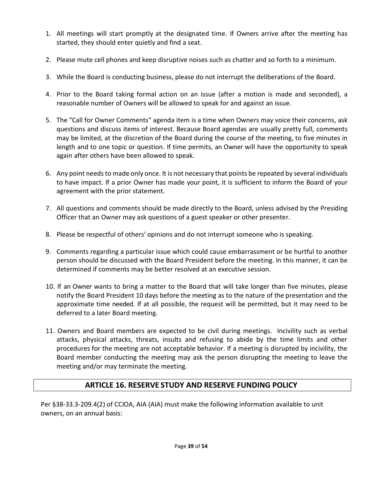- 1. All meetings will start promptly at the designated time. If Owners arrive after the meeting has started, they should enter quietly and find a seat.
- 2. Please mute cell phones and keep disruptive noises such as chatter and so forth to a minimum.
- 3. While the Board is conducting business, please do not interrupt the deliberations of the Board.
- 4. Prior to the Board taking formal action on an issue (after a motion is made and seconded), a reasonable number of Owners will be allowed to speak for and against an issue.
- 5. The "Call for Owner Comments" agenda item is a time when Owners may voice their concerns, ask questions and discuss items of interest. Because Board agendas are usually pretty full, comments may be limited, at the discretion of the Board during the course of the meeting, to five minutes in length and to one topic or question. If time permits, an Owner will have the opportunity to speak again after others have been allowed to speak.
- 6. Any point needs to made only once. It is not necessary that points be repeated by several individuals to have impact. If a prior Owner has made your point, it is sufficient to inform the Board of your agreement with the prior statement.
- 7. All questions and comments should be made directly to the Board, unless advised by the Presiding Officer that an Owner may ask questions of a guest speaker or other presenter.
- 8. Please be respectful of others' opinions and do not interrupt someone who is speaking.
- 9. Comments regarding a particular issue which could cause embarrassment or be hurtful to another person should be discussed with the Board President before the meeting. In this manner, it can be determined if comments may be better resolved at an executive session.
- 10. If an Owner wants to bring a matter to the Board that will take longer than five minutes, please notify the Board President 10 days before the meeting as to the nature of the presentation and the approximate time needed. If at all possible, the request will be permitted, but it may need to be deferred to a later Board meeting.
- 11. Owners and Board members are expected to be civil during meetings. Incivility such as verbal attacks, physical attacks, threats, insults and refusing to abide by the time limits and other procedures for the meeting are not acceptable behavior. If a meeting is disrupted by incivility, the Board member conducting the meeting may ask the person disrupting the meeting to leave the meeting and/or may terminate the meeting.

# **ARTICLE 16. RESERVE STUDY AND RESERVE FUNDING POLICY**

<span id="page-38-0"></span>Per §38-33.3-209.4(2) of CCIOA, AIA (AIA) must make the following information available to unit owners, on an annual basis: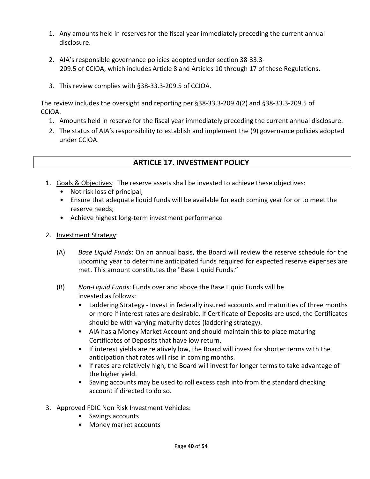- 1. Any amounts held in reserves for the fiscal year immediately preceding the current annual disclosure.
- 2. AIA's responsible governance policies adopted under section 38-33.3- 209.5 of CCIOA, which includes Article 8 and Articles 10 through 17 of these Regulations.
- 3. This review complies with §38-33.3-209.5 of CCIOA.

The review includes the oversight and reporting per §38-33.3-209.4(2) and §38-33.3-209.5 of CCIOA.

- 1. Amounts held in reserve for the fiscal year immediately preceding the current annual disclosure.
- 2. The status of AIA's responsibility to establish and implement the (9) governance policies adopted under CCIOA.

# **ARTICLE 17. INVESTMENT POLICY**

- <span id="page-39-0"></span>1. Goals & Objectives: The reserve assets shall be invested to achieve these objectives:
	- Not risk loss of principal;
	- Ensure that adequate liquid funds will be available for each coming year for or to meet the reserve needs;
	- Achieve highest long-term investment performance
- 2. Investment Strategy:
	- (A) *Base Liquid Funds*: On an annual basis, the Board will review the reserve schedule for the upcoming year to determine anticipated funds required for expected reserve expenses are met. This amount constitutes the "Base Liquid Funds."
	- (B) *Non-Liquid Funds*: Funds over and above the Base Liquid Funds will be invested as follows:
		- Laddering Strategy Invest in federally insured accounts and maturities of three months or more if interest rates are desirable. If Certificate of Deposits are used, the Certificates should be with varying maturity dates (laddering strategy).
		- AIA has a Money Market Account and should maintain this to place maturing Certificates of Deposits that have low return.
		- If interest yields are relatively low, the Board will invest for shorter terms with the anticipation that rates will rise in coming months.
		- If rates are relatively high, the Board will invest for longer terms to take advantage of the higher yield.
		- Saving accounts may be used to roll excess cash into from the standard checking account if directed to do so.
- 3. Approved FDIC Non Risk Investment Vehicles:
	- Savings accounts
	- Money market accounts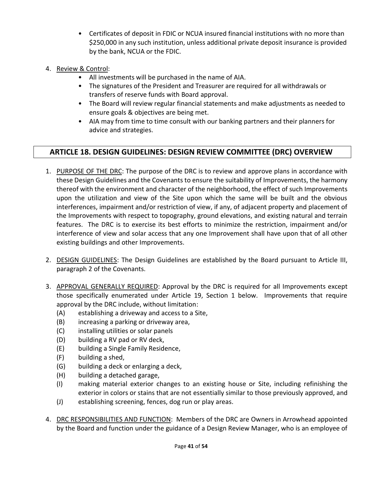- Certificates of deposit in FDIC or NCUA insured financial institutions with no more than \$250,000 in any such institution, unless additional private deposit insurance is provided by the bank, NCUA or the FDIC.
- 4. Review & Control:
	- All investments will be purchased in the name of AIA.
	- The signatures of the President and Treasurer are required for all withdrawals or transfers of reserve funds with Board approval.
	- The Board will review regular financial statements and make adjustments as needed to ensure goals & objectives are being met.
	- AIA may from time to time consult with our banking partners and their planners for advice and strategies.

# <span id="page-40-0"></span>**ARTICLE 18. DESIGN GUIDELINES: DESIGN REVIEW COMMITTEE (DRC) OVERVIEW**

- 1. PURPOSE OF THE DRC: The purpose of the DRC is to review and approve plans in accordance with these Design Guidelines and the Covenants to ensure the suitability of Improvements, the harmony thereof with the environment and character of the neighborhood, the effect of such Improvements upon the utilization and view of the Site upon which the same will be built and the obvious interferences, impairment and/or restriction of view, if any, of adjacent property and placement of the Improvements with respect to topography, ground elevations, and existing natural and terrain features. The DRC is to exercise its best efforts to minimize the restriction, impairment and/or interference of view and solar access that any one Improvement shall have upon that of all other existing buildings and other Improvements.
- 2. DESIGN GUIDELINES: The Design Guidelines are established by the Board pursuant to Article III, paragraph 2 of the Covenants.
- 3. APPROVAL GENERALLY REQUIRED: Approval by the DRC is required for all Improvements except those specifically enumerated under Article 19, Section 1 below. Improvements that require approval by the DRC include, without limitation:
	- (A) establishing a driveway and access to a Site,
	- (B) increasing a parking or driveway area,
	- (C) installing utilities or solar panels
	- (D) building a RV pad or RV deck,
	- (E) building a Single Family Residence,
	- (F) building a shed,
	- (G) building a deck or enlarging a deck,
	- (H) building a detached garage,
	- (I) making material exterior changes to an existing house or Site, including refinishing the exterior in colors or stains that are not essentially similar to those previously approved, and
	- (J) establishing screening, fences, dog run or play areas.
- 4. DRC RESPONSIBILITIES AND FUNCTION: Members of the DRC are Owners in Arrowhead appointed by the Board and function under the guidance of a Design Review Manager, who is an employee of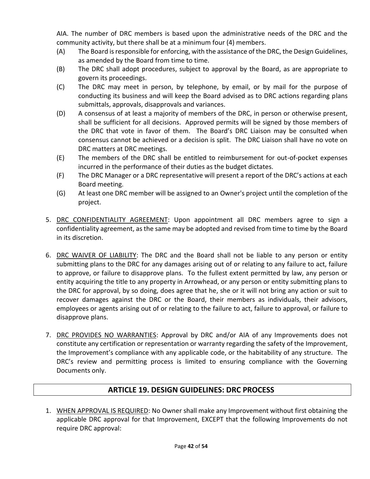AIA. The number of DRC members is based upon the administrative needs of the DRC and the community activity, but there shall be at a minimum four (4) members.

- (A) The Board is responsible for enforcing, with the assistance of the DRC, the Design Guidelines, as amended by the Board from time to time.
- (B) The DRC shall adopt procedures, subject to approval by the Board, as are appropriate to govern its proceedings.
- (C) The DRC may meet in person, by telephone, by email, or by mail for the purpose of conducting its business and will keep the Board advised as to DRC actions regarding plans submittals, approvals, disapprovals and variances.
- (D) A consensus of at least a majority of members of the DRC, in person or otherwise present, shall be sufficient for all decisions. Approved permits will be signed by those members of the DRC that vote in favor of them. The Board's DRC Liaison may be consulted when consensus cannot be achieved or a decision is split. The DRC Liaison shall have no vote on DRC matters at DRC meetings.
- (E) The members of the DRC shall be entitled to reimbursement for out-of-pocket expenses incurred in the performance of their duties as the budget dictates.
- (F) The DRC Manager or a DRC representative will present a report of the DRC's actions at each Board meeting.
- (G) At least one DRC member will be assigned to an Owner's project until the completion of the project.
- 5. DRC CONFIDENTIALITY AGREEMENT: Upon appointment all DRC members agree to sign a confidentiality agreement, as the same may be adopted and revised from time to time by the Board in its discretion.
- 6. DRC WAIVER OF LIABILITY: The DRC and the Board shall not be liable to any person or entity submitting plans to the DRC for any damages arising out of or relating to any failure to act, failure to approve, or failure to disapprove plans. To the fullest extent permitted by law, any person or entity acquiring the title to any property in Arrowhead, or any person or entity submitting plans to the DRC for approval, by so doing, does agree that he, she or it will not bring any action or suit to recover damages against the DRC or the Board, their members as individuals, their advisors, employees or agents arising out of or relating to the failure to act, failure to approval, or failure to disapprove plans.
- 7. DRC PROVIDES NO WARRANTIES: Approval by DRC and/or AIA of any Improvements does not constitute any certification or representation or warranty regarding the safety of the Improvement, the Improvement's compliance with any applicable code, or the habitability of any structure. The DRC's review and permitting process is limited to ensuring compliance with the Governing Documents only.

# **ARTICLE 19. DESIGN GUIDELINES: DRC PROCESS**

<span id="page-41-0"></span>1. WHEN APPROVAL IS REQUIRED: No Owner shall make any Improvement without first obtaining the applicable DRC approval for that Improvement, EXCEPT that the following Improvements do not require DRC approval: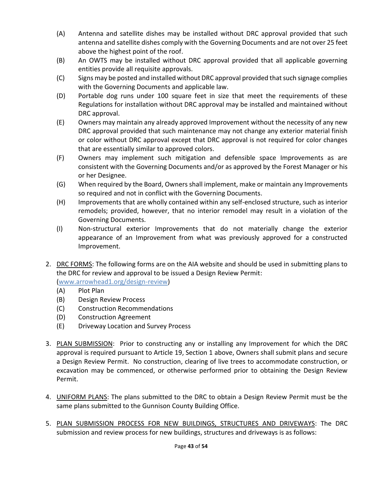- (A) Antenna and satellite dishes may be installed without DRC approval provided that such antenna and satellite dishes comply with the Governing Documents and are not over 25 feet above the highest point of the roof.
- (B) An OWTS may be installed without DRC approval provided that all applicable governing entities provide all requisite approvals.
- (C) Signs may be posted and installed without DRC approval provided that such signage complies with the Governing Documents and applicable law.
- (D) Portable dog runs under 100 square feet in size that meet the requirements of these Regulations for installation without DRC approval may be installed and maintained without DRC approval.
- (E) Owners may maintain any already approved Improvement without the necessity of any new DRC approval provided that such maintenance may not change any exterior material finish or color without DRC approval except that DRC approval is not required for color changes that are essentially similar to approved colors.
- (F) Owners may implement such mitigation and defensible space Improvements as are consistent with the Governing Documents and/or as approved by the Forest Manager or his or her Designee.
- (G) When required by the Board, Owners shall implement, make or maintain any Improvements so required and not in conflict with the Governing Documents.
- (H) Improvements that are wholly contained within any self-enclosed structure, such as interior remodels; provided, however, that no interior remodel may result in a violation of the Governing Documents.
- (I) Non-structural exterior Improvements that do not materially change the exterior appearance of an Improvement from what was previously approved for a constructed Improvement.
- 2. DRC FORMS: The following forms are on the AIA website and should be used in submitting plans to the DRC for review and approval to be issued a Design Review Permit:

[\(www.arrowhead1.org/design-review\)](http://www.arrowhead1.org/design-review)

- (A) Plot Plan
- (B) Design Review Process
- (C) Construction Recommendations
- (D) Construction Agreement
- (E) Driveway Location and Survey Process
- 3. PLAN SUBMISSION: Prior to constructing any or installing any Improvement for which the DRC approval is required pursuant to Article 19, Section 1 above, Owners shall submit plans and secure a Design Review Permit. No construction, clearing of live trees to accommodate construction, or excavation may be commenced, or otherwise performed prior to obtaining the Design Review Permit.
- 4. UNIFORM PLANS: The plans submitted to the DRC to obtain a Design Review Permit must be the same plans submitted to the Gunnison County Building Office.
- 5. PLAN SUBMISSION PROCESS FOR NEW BUILDINGS, STRUCTURES AND DRIVEWAYS: The DRC submission and review process for new buildings, structures and driveways is as follows: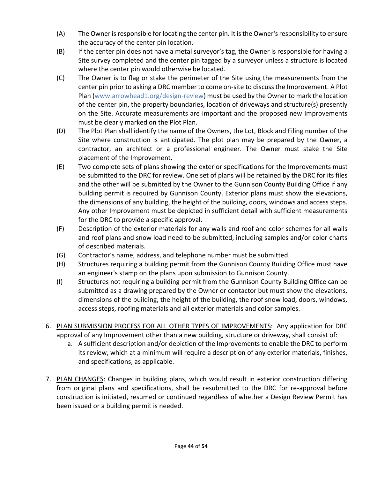- (A) The Owner is responsible for locating the center pin. It is the Owner's responsibility to ensure the accuracy of the center pin location.
- (B) If the center pin does not have a metal surveyor's tag, the Owner is responsible for having a Site survey completed and the center pin tagged by a surveyor unless a structure is located where the center pin would otherwise be located.
- (C) The Owner is to flag or stake the perimeter of the Site using the measurements from the center pin prior to asking a DRC member to come on-site to discuss the Improvement. A Plot Plan [\(www.arrowhead1.org/design-review\)](http://www.arrowhead1.org/design-review) must be used by the Owner to mark the location of the center pin, the property boundaries, location of driveways and structure(s) presently on the Site. Accurate measurements are important and the proposed new Improvements must be clearly marked on the Plot Plan.
- (D) The Plot Plan shall identify the name of the Owners, the Lot, Block and Filing number of the Site where construction is anticipated. The plot plan may be prepared by the Owner, a contractor, an architect or a professional engineer. The Owner must stake the Site placement of the Improvement.
- (E) Two complete sets of plans showing the exterior specifications for the Improvements must be submitted to the DRC for review. One set of plans will be retained by the DRC for its files and the other will be submitted by the Owner to the Gunnison County Building Office if any building permit is required by Gunnison County. Exterior plans must show the elevations, the dimensions of any building, the height of the building, doors, windows and access steps. Any other Improvement must be depicted in sufficient detail with sufficient measurements for the DRC to provide a specific approval.
- (F) Description of the exterior materials for any walls and roof and color schemes for all walls and roof plans and snow load need to be submitted, including samples and/or color charts of described materials.
- (G) Contractor's name, address, and telephone number must be submitted.
- (H) Structures requiring a building permit from the Gunnison County Building Office must have an engineer's stamp on the plans upon submission to Gunnison County.
- (I) Structures not requiring a building permit from the Gunnison County Building Office can be submitted as a drawing prepared by the Owner or contactor but must show the elevations, dimensions of the building, the height of the building, the roof snow load, doors, windows, access steps, roofing materials and all exterior materials and color samples.
- 6. PLAN SUBMISSION PROCESS FOR ALL OTHER TYPES OF IMPROVEMENTS: Any application for DRC approval of any Improvement other than a new building, structure or driveway, shall consist of:
	- a. A sufficient description and/or depiction of the Improvements to enable the DRC to perform its review, which at a minimum will require a description of any exterior materials, finishes, and specifications, as applicable.
- 7. PLAN CHANGES: Changes in building plans, which would result in exterior construction differing from original plans and specifications, shall be resubmitted to the DRC for re-approval before construction is initiated, resumed or continued regardless of whether a Design Review Permit has been issued or a building permit is needed.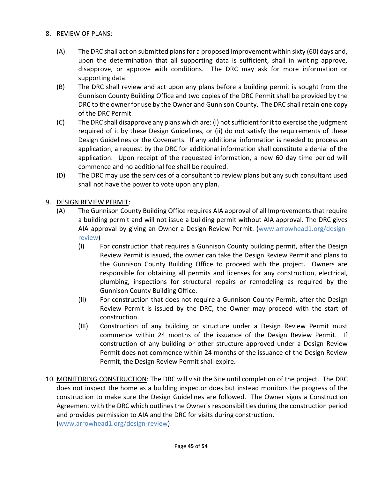### 8. REVIEW OF PLANS:

- (A) The DRC shall act on submitted plans for a proposed Improvement within sixty (60) days and, upon the determination that all supporting data is sufficient, shall in writing approve, disapprove, or approve with conditions. The DRC may ask for more information or supporting data.
- (B) The DRC shall review and act upon any plans before a building permit is sought from the Gunnison County Building Office and two copies of the DRC Permit shall be provided by the DRC to the owner for use by the Owner and Gunnison County. The DRC shall retain one copy of the DRC Permit
- (C) The DRC shall disapprove any plans which are: (i) not sufficient for it to exercise the judgment required of it by these Design Guidelines, or (ii) do not satisfy the requirements of these Design Guidelines or the Covenants. If any additional information is needed to process an application, a request by the DRC for additional information shall constitute a denial of the application. Upon receipt of the requested information, a new 60 day time period will commence and no additional fee shall be required.
- (D) The DRC may use the services of a consultant to review plans but any such consultant used shall not have the power to vote upon any plan.

## 9. DESIGN REVIEW PERMIT:

- (A) The Gunnison County Building Office requires AIA approval of all Improvements that require a building permit and will not issue a building permit without AIA approval. The DRC gives AIA approval by giving an Owner a Design Review Permit. [\(www.arrowhead1.org/design](http://www.arrowhead1.org/design-review)[review\)](http://www.arrowhead1.org/design-review)
	- (I) For construction that requires a Gunnison County building permit, after the Design Review Permit is issued, the owner can take the Design Review Permit and plans to the Gunnison County Building Office to proceed with the project. Owners are responsible for obtaining all permits and licenses for any construction, electrical, plumbing, inspections for structural repairs or remodeling as required by the Gunnison County Building Office.
	- (II) For construction that does not require a Gunnison County Permit, after the Design Review Permit is issued by the DRC, the Owner may proceed with the start of construction.
	- (III) Construction of any building or structure under a Design Review Permit must commence within 24 months of the issuance of the Design Review Permit. If construction of any building or other structure approved under a Design Review Permit does not commence within 24 months of the issuance of the Design Review Permit, the Design Review Permit shall expire.
- 10. MONITORING CONSTRUCTION: The DRC will visit the Site until completion of the project. The DRC does not inspect the home as a building inspector does but instead monitors the progress of the construction to make sure the Design Guidelines are followed. The Owner signs a Construction Agreement with the DRC which outlines the Owner's responsibilities during the construction period and provides permission to AIA and the DRC for visits during construction.

[\(www.arrowhead1.org/design-review\)](http://www.arrowhead1.org/design-review)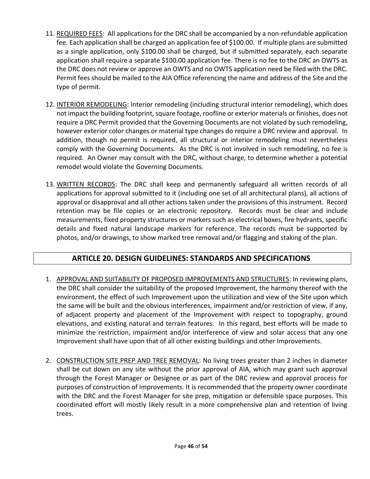- 11. REQUIRED FEES: All applications for the DRC shall be accompanied by a non-refundable application fee. Each application shall be charged an application fee of \$100.00. If multiple plans are submitted as a single application, only \$100.00 shall be charged, but if submitted separately, each separate application shall require a separate \$100.00 application fee. There is no fee to the DRC an OWTS as the DRC does not review or approve an OWTS and no OWTS application need be filed with the DRC. Permit fees should be mailed to the AIA Office referencing the name and address of the Site and the type of permit.
- 12. INTERIOR REMODELING: Interior remodeling (including structural interior remodeling), which does not impact the building footprint, square footage, roofline or exterior materials or finishes, does not require a DRC Permit provided that the Governing Documents are not violated by such remodeling, however exterior color changes or material type changes do require a DRC review and approval. In addition, though no permit is required, all structural or interior remodeling must nevertheless comply with the Governing Documents. As the DRC is not involved in such remodeling, no fee is required. An Owner may consult with the DRC, without charge, to determine whether a potential remodel would violate the Governing Documents.
- 13. WRITTEN RECORDS: The DRC shall keep and permanently safeguard all written records of all applications for approval submitted to it (including one set of all architectural plans), all actions of approval or disapproval and all other actions taken under the provisions of this instrument. Record retention may be file copies or an electronic repository. Records must be clear and include measurements, fixed property structures or markers such as electrical boxes, fire hydrants, specific details and fixed natural landscape markers for reference. The records must be supported by photos, and/or drawings, to show marked tree removal and/or flagging and staking of the plan.

# **ARTICLE 20. DESIGN GUIDELINES: STANDARDS AND SPECIFICATIONS**

- <span id="page-45-0"></span>1. APPROVAL AND SUITABILITY OF PROPOSED IMPROVEMENTS AND STRUCTURES: In reviewing plans, the DRC shall consider the suitability of the proposed Improvement, the harmony thereof with the environment, the effect of such Improvement upon the utilization and view of the Site upon which the same will be built and the obvious interferences, impairment and/or restriction of view, if any, of adjacent property and placement of the Improvement with respect to topography, ground elevations, and existing natural and terrain features. In this regard, best efforts will be made to minimize the restriction, impairment and/or interference of view and solar access that any one Improvement shall have upon that of all other existing buildings and other Improvements.
- 2. CONSTRUCTION SITE PREP AND TREE REMOVAL: No living trees greater than 2 inches in diameter shall be cut down on any site without the prior approval of AIA, which may grant such approval through the Forest Manager or Designee or as part of the DRC review and approval process for purposes of construction of Improvements. It is recommended that the property owner coordinate with the DRC and the Forest Manager for site prep, mitigation or defensible space purposes. This coordinated effort will mostly likely result in a more comprehensive plan and retention of living trees.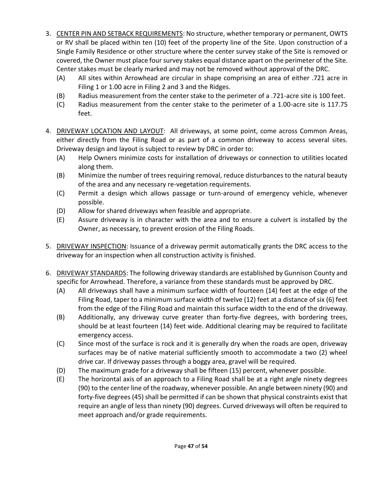- 3. CENTER PIN AND SETBACK REQUIREMENTS: No structure, whether temporary or permanent, OWTS or RV shall be placed within ten (10) feet of the property line of the Site. Upon construction of a Single Family Residence or other structure where the center survey stake of the Site is removed or covered, the Owner must place four survey stakes equal distance apart on the perimeter of the Site. Center stakes must be clearly marked and may not be removed without approval of the DRC.
	- (A) All sites within Arrowhead are circular in shape comprising an area of either .721 acre in Filing 1 or 1.00 acre in Filing 2 and 3 and the Ridges.
	- (B) Radius measurement from the center stake to the perimeter of a .721-acre site is 100 feet.
	- (C) Radius measurement from the center stake to the perimeter of a 1.00-acre site is 117.75 feet.
- 4. DRIVEWAY LOCATION AND LAYOUT: All driveways, at some point, come across Common Areas, either directly from the Filing Road or as part of a common driveway to access several sites. Driveway design and layout is subject to review by DRC in order to:
	- (A) Help Owners minimize costs for installation of driveways or connection to utilities located along them.
	- (B) Minimize the number of trees requiring removal, reduce disturbances to the natural beauty of the area and any necessary re-vegetation requirements.
	- (C) Permit a design which allows passage or turn-around of emergency vehicle, whenever possible.
	- (D) Allow for shared driveways when feasible and appropriate.
	- (E) Assure driveway is in character with the area and to ensure a culvert is installed by the Owner, as necessary, to prevent erosion of the Filing Roads.
- 5. DRIVEWAY INSPECTION: Issuance of a driveway permit automatically grants the DRC access to the driveway for an inspection when all construction activity is finished.
- 6. DRIVEWAY STANDARDS: The following driveway standards are established by Gunnison County and specific for Arrowhead. Therefore, a variance from these standards must be approved by DRC.
	- (A) All driveways shall have a minimum surface width of fourteen (14) feet at the edge of the Filing Road, taper to a minimum surface width of twelve (12) feet at a distance of six (6) feet from the edge of the Filing Road and maintain this surface width to the end of the driveway.
	- (B) Additionally, any driveway curve greater than forty-five degrees, with bordering trees, should be at least fourteen (14) feet wide. Additional clearing may be required to facilitate emergency access.
	- (C) Since most of the surface is rock and it is generally dry when the roads are open, driveway surfaces may be of native material sufficiently smooth to accommodate a two (2) wheel drive car. If driveway passes through a boggy area, gravel will be required.
	- (D) The maximum grade for a driveway shall be fifteen (15) percent, whenever possible.
	- (E) The horizontal axis of an approach to a Filing Road shall be at a right angle ninety degrees (90) to the center line of the roadway, whenever possible. An angle between ninety (90) and forty-five degrees (45) shall be permitted if can be shown that physical constraints exist that require an angle of less than ninety (90) degrees. Curved driveways will often be required to meet approach and/or grade requirements.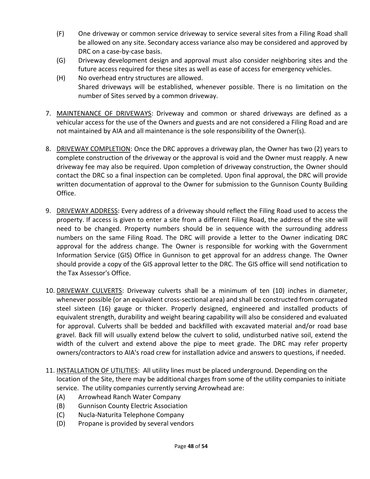- (F) One driveway or common service driveway to service several sites from a Filing Road shall be allowed on any site. Secondary access variance also may be considered and approved by DRC on a case-by-case basis.
- (G) Driveway development design and approval must also consider neighboring sites and the future access required for these sites as well as ease of access for emergency vehicles.
- (H) No overhead entry structures are allowed. Shared driveways will be established, whenever possible. There is no limitation on the number of Sites served by a common driveway.
- 7. MAINTENANCE OF DRIVEWAYS: Driveway and common or shared driveways are defined as a vehicular access for the use of the Owners and guests and are not considered a Filing Road and are not maintained by AIA and all maintenance is the sole responsibility of the Owner(s).
- 8. DRIVEWAY COMPLETION: Once the DRC approves a driveway plan, the Owner has two (2) years to complete construction of the driveway or the approval is void and the Owner must reapply. A new driveway fee may also be required. Upon completion of driveway construction, the Owner should contact the DRC so a final inspection can be completed. Upon final approval, the DRC will provide written documentation of approval to the Owner for submission to the Gunnison County Building Office.
- 9. DRIVEWAY ADDRESS: Every address of a driveway should reflect the Filing Road used to access the property. If access is given to enter a site from a different Filing Road, the address of the site will need to be changed. Property numbers should be in sequence with the surrounding address numbers on the same Filing Road. The DRC will provide a letter to the Owner indicating DRC approval for the address change. The Owner is responsible for working with the Government Information Service (GIS) Office in Gunnison to get approval for an address change. The Owner should provide a copy of the GIS approval letter to the DRC. The GIS office will send notification to the Tax Assessor's Office.
- 10. DRIVEWAY CULVERTS: Driveway culverts shall be a minimum of ten (10) inches in diameter, whenever possible (or an equivalent cross-sectional area) and shall be constructed from corrugated steel sixteen (16) gauge or thicker. Properly designed, engineered and installed products of equivalent strength, durability and weight bearing capability will also be considered and evaluated for approval. Culverts shall be bedded and backfilled with excavated material and/or road base gravel. Back fill will usually extend below the culvert to solid, undisturbed native soil, extend the width of the culvert and extend above the pipe to meet grade. The DRC may refer property owners/contractors to AIA's road crew for installation advice and answers to questions, if needed.
- 11. INSTALLATION OF UTILITIES: All utility lines must be placed underground. Depending on the location of the Site, there may be additional charges from some of the utility companies to initiate service. The utility companies currently serving Arrowhead are:
	- (A) Arrowhead Ranch Water Company
	- (B) Gunnison County Electric Association
	- (C) Nucla-Naturita Telephone Company
	- (D) Propane is provided by several vendors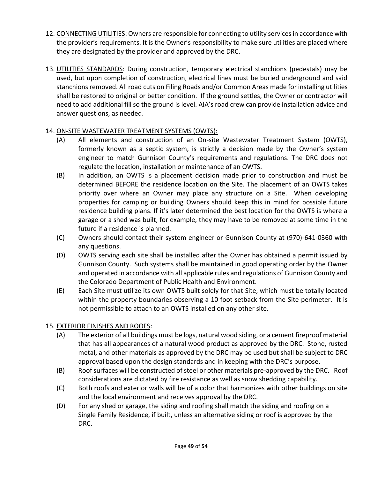- 12. CONNECTING UTILITIES: Owners are responsible for connecting to utility services in accordance with the provider's requirements. It is the Owner's responsibility to make sure utilities are placed where they are designated by the provider and approved by the DRC.
- 13. UTILITIES STANDARDS: During construction, temporary electrical stanchions (pedestals) may be used, but upon completion of construction, electrical lines must be buried underground and said stanchions removed. All road cuts on Filing Roads and/or Common Areas made for installing utilities shall be restored to original or better condition. If the ground settles, the Owner or contractor will need to add additional fill so the ground is level. AIA's road crew can provide installation advice and answer questions, as needed.

## 14. ON-SITE WASTEWATER TREATMENT SYSTEMS (OWTS):

- (A) All elements and construction of an On-site Wastewater Treatment System (OWTS), formerly known as a septic system, is strictly a decision made by the Owner's system engineer to match Gunnison County's requirements and regulations. The DRC does not regulate the location, installation or maintenance of an OWTS.
- (B) In addition, an OWTS is a placement decision made prior to construction and must be determined BEFORE the residence location on the Site. The placement of an OWTS takes priority over where an Owner may place any structure on a Site. When developing properties for camping or building Owners should keep this in mind for possible future residence building plans. If it's later determined the best location for the OWTS is where a garage or a shed was built, for example, they may have to be removed at some time in the future if a residence is planned.
- (C) Owners should contact their system engineer or Gunnison County at (970)-641-0360 with any questions.
- (D) OWTS serving each site shall be installed after the Owner has obtained a permit issued by Gunnison County. Such systems shall be maintained in good operating order by the Owner and operated in accordance with all applicable rules and regulations of Gunnison County and the Colorado Department of Public Health and Environment.
- (E) Each Site must utilize its own OWTS built solely for that Site, which must be totally located within the property boundaries observing a 10 foot setback from the Site perimeter. It is not permissible to attach to an OWTS installed on any other site.

# 15. EXTERIOR FINISHES AND ROOFS:

- (A) The exterior of all buildings must be logs, natural wood siding, or a cement fireproof material that has all appearances of a natural wood product as approved by the DRC. Stone, rusted metal, and other materials as approved by the DRC may be used but shall be subject to DRC approval based upon the design standards and in keeping with the DRC's purpose.
- (B) Roof surfaces will be constructed of steel or other materials pre-approved by the DRC. Roof considerations are dictated by fire resistance as well as snow shedding capability.
- (C) Both roofs and exterior walls will be of a color that harmonizes with other buildings on site and the local environment and receives approval by the DRC.
- (D) For any shed or garage, the siding and roofing shall match the siding and roofing on a Single Family Residence, if built, unless an alternative siding or roof is approved by the DRC.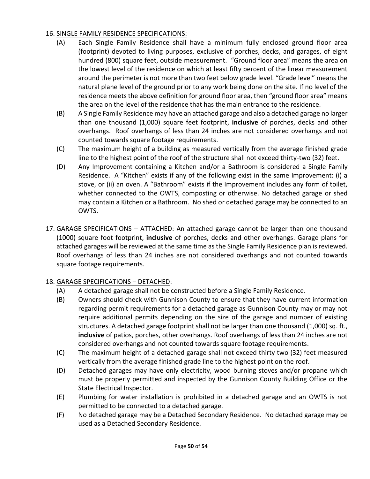### 16. SINGLE FAMILY RESIDENCE SPECIFICATIONS:

- (A) Each Single Family Residence shall have a minimum fully enclosed ground floor area (footprint) devoted to living purposes, exclusive of porches, decks, and garages, of eight hundred (800) square feet, outside measurement. "Ground floor area" means the area on the lowest level of the residence on which at least fifty percent of the linear measurement around the perimeter is not more than two feet below grade level. "Grade level" means the natural plane level of the ground prior to any work being done on the site. If no level of the residence meets the above definition for ground floor area, then "ground floor area" means the area on the level of the residence that has the main entrance to the residence.
- (B) A Single Family Residence may have an attached garage and also a detached garage no larger than one thousand (1,000) square feet footprint, **inclusive** of porches, decks and other overhangs. Roof overhangs of less than 24 inches are not considered overhangs and not counted towards square footage requirements.
- (C) The maximum height of a building as measured vertically from the average finished grade line to the highest point of the roof of the structure shall not exceed thirty-two (32) feet.
- (D) Any Improvement containing a Kitchen and/or a Bathroom is considered a Single Family Residence. A "Kitchen" exists if any of the following exist in the same Improvement: (i) a stove, or (ii) an oven. A "Bathroom" exists if the Improvement includes any form of toilet, whether connected to the OWTS, composting or otherwise. No detached garage or shed may contain a Kitchen or a Bathroom. No shed or detached garage may be connected to an OWTS.
- 17. GARAGE SPECIFICATIONS ATTACHED: An attached garage cannot be larger than one thousand (1000) square foot footprint, **inclusive** of porches, decks and other overhangs. Garage plans for attached garages will be reviewed at the same time as the Single Family Residence plan is reviewed. Roof overhangs of less than 24 inches are not considered overhangs and not counted towards square footage requirements.

## 18. GARAGE SPECIFICATIONS – DETACHED:

- (A) A detached garage shall not be constructed before a Single Family Residence.
- (B) Owners should check with Gunnison County to ensure that they have current information regarding permit requirements for a detached garage as Gunnison County may or may not require additional permits depending on the size of the garage and number of existing structures. A detached garage footprint shall not be larger than one thousand (1,000) sq. ft., **inclusive** of patios, porches, other overhangs. Roof overhangs of less than 24 inches are not considered overhangs and not counted towards square footage requirements.
- (C) The maximum height of a detached garage shall not exceed thirty two (32) feet measured vertically from the average finished grade line to the highest point on the roof.
- (D) Detached garages may have only electricity, wood burning stoves and/or propane which must be properly permitted and inspected by the Gunnison County Building Office or the State Electrical Inspector.
- (E) Plumbing for water installation is prohibited in a detached garage and an OWTS is not permitted to be connected to a detached garage.
- (F) No detached garage may be a Detached Secondary Residence. No detached garage may be used as a Detached Secondary Residence.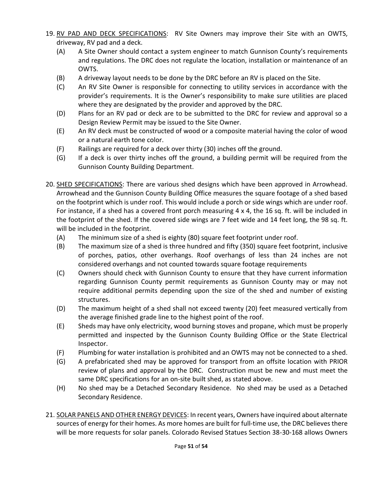- 19. RV PAD AND DECK SPECIFICATIONS: RV Site Owners may improve their Site with an OWTS, driveway, RV pad and a deck.
	- (A) A Site Owner should contact a system engineer to match Gunnison County's requirements and regulations. The DRC does not regulate the location, installation or maintenance of an OWTS.
	- (B) A driveway layout needs to be done by the DRC before an RV is placed on the Site.
	- (C) An RV Site Owner is responsible for connecting to utility services in accordance with the provider's requirements. It is the Owner's responsibility to make sure utilities are placed where they are designated by the provider and approved by the DRC.
	- (D) Plans for an RV pad or deck are to be submitted to the DRC for review and approval so a Design Review Permit may be issued to the Site Owner.
	- (E) An RV deck must be constructed of wood or a composite material having the color of wood or a natural earth tone color.
	- (F) Railings are required for a deck over thirty (30) inches off the ground.
	- (G) If a deck is over thirty inches off the ground, a building permit will be required from the Gunnison County Building Department.
- 20. SHED SPECIFICATIONS: There are various shed designs which have been approved in Arrowhead. Arrowhead and the Gunnison County Building Office measures the square footage of a shed based on the footprint which is under roof. This would include a porch or side wings which are under roof. For instance, if a shed has a covered front porch measuring 4 x 4, the 16 sq. ft. will be included in the footprint of the shed. If the covered side wings are 7 feet wide and 14 feet long, the 98 sq. ft. will be included in the footprint.
	- (A) The minimum size of a shed is eighty (80) square feet footprint under roof.
	- (B) The maximum size of a shed is three hundred and fifty (350) square feet footprint, inclusive of porches, patios, other overhangs. Roof overhangs of less than 24 inches are not considered overhangs and not counted towards square footage requirements
	- (C) Owners should check with Gunnison County to ensure that they have current information regarding Gunnison County permit requirements as Gunnison County may or may not require additional permits depending upon the size of the shed and number of existing structures.
	- (D) The maximum height of a shed shall not exceed twenty (20) feet measured vertically from the average finished grade line to the highest point of the roof.
	- (E) Sheds may have only electricity, wood burning stoves and propane, which must be properly permitted and inspected by the Gunnison County Building Office or the State Electrical Inspector.
	- (F) Plumbing for water installation is prohibited and an OWTS may not be connected to a shed.
	- (G) A prefabricated shed may be approved for transport from an offsite location with PRIOR review of plans and approval by the DRC. Construction must be new and must meet the same DRC specifications for an on-site built shed, as stated above.
	- (H) No shed may be a Detached Secondary Residence. No shed may be used as a Detached Secondary Residence.
- 21. SOLAR PANELS AND OTHER ENERGY DEVICES: In recent years, Owners have inquired about alternate sources of energy for their homes. As more homes are built for full-time use, the DRC believes there will be more requests for solar panels. Colorado Revised Statues Section 38-30-168 allows Owners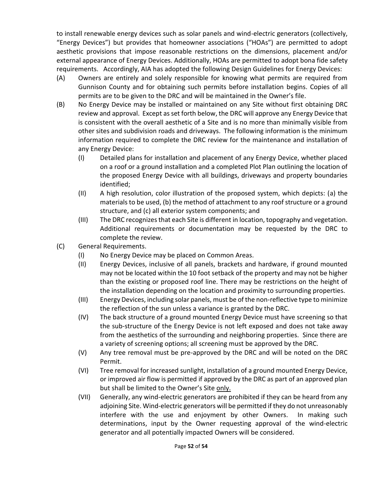to install renewable energy devices such as solar panels and wind-electric generators (collectively, "Energy Devices") but provides that homeowner associations ("HOAs") are permitted to adopt aesthetic provisions that impose reasonable restrictions on the dimensions, placement and/or external appearance of Energy Devices. Additionally, HOAs are permitted to adopt bona fide safety requirements. Accordingly, AIA has adopted the following Design Guidelines for Energy Devices:

- (A) Owners are entirely and solely responsible for knowing what permits are required from Gunnison County and for obtaining such permits before installation begins. Copies of all permits are to be given to the DRC and will be maintained in the Owner's file.
- (B) No Energy Device may be installed or maintained on any Site without first obtaining DRC review and approval. Except as set forth below, the DRC will approve any Energy Device that is consistent with the overall aesthetic of a Site and is no more than minimally visible from other sites and subdivision roads and driveways. The following information is the minimum information required to complete the DRC review for the maintenance and installation of any Energy Device:
	- (I) Detailed plans for installation and placement of any Energy Device, whether placed on a roof or a ground installation and a completed Plot Plan outlining the location of the proposed Energy Device with all buildings, driveways and property boundaries identified;
	- (II) A high resolution, color illustration of the proposed system, which depicts: (a) the materials to be used, (b) the method of attachment to any roof structure or a ground structure, and (c) all exterior system components; and
	- (III) The DRC recognizes that each Site is different in location, topography and vegetation. Additional requirements or documentation may be requested by the DRC to complete the review.
- (C) General Requirements.
	- (I) No Energy Device may be placed on Common Areas.
	- (II) Energy Devices, inclusive of all panels, brackets and hardware, if ground mounted may not be located within the 10 foot setback of the property and may not be higher than the existing or proposed roof line. There may be restrictions on the height of the installation depending on the location and proximity to surrounding properties.
	- (III) Energy Devices, including solar panels, must be of the non-reflective type to minimize the reflection of the sun unless a variance is granted by the DRC.
	- (IV) The back structure of a ground mounted Energy Device must have screening so that the sub-structure of the Energy Device is not left exposed and does not take away from the aesthetics of the surrounding and neighboring properties. Since there are a variety of screening options; all screening must be approved by the DRC.
	- (V) Any tree removal must be pre-approved by the DRC and will be noted on the DRC Permit.
	- (VI) Tree removal for increased sunlight, installation of a ground mounted Energy Device, or improved air flow is permitted if approved by the DRC as part of an approved plan but shall be limited to the Owner's Site only.
	- (VII) Generally, any wind-electric generators are prohibited if they can be heard from any adjoining Site. Wind-electric generators will be permitted if they do not unreasonably interfere with the use and enjoyment by other Owners. In making such determinations, input by the Owner requesting approval of the wind-electric generator and all potentially impacted Owners will be considered.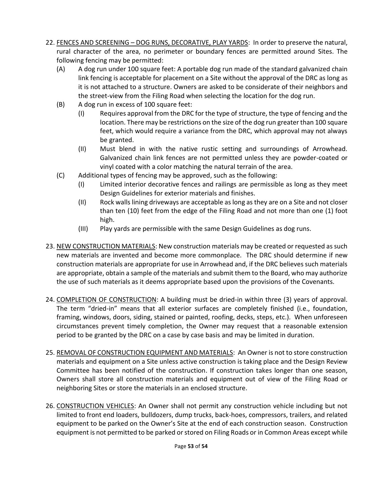- 22. FENCES AND SCREENING DOG RUNS, DECORATIVE, PLAY YARDS: In order to preserve the natural, rural character of the area, no perimeter or boundary fences are permitted around Sites. The following fencing may be permitted:
	- (A) A dog run under 100 square feet: A portable dog run made of the standard galvanized chain link fencing is acceptable for placement on a Site without the approval of the DRC as long as it is not attached to a structure. Owners are asked to be considerate of their neighbors and the street-view from the Filing Road when selecting the location for the dog run.
	- (B) A dog run in excess of 100 square feet:
		- (I) Requires approval from the DRC for the type of structure, the type of fencing and the location. There may be restrictions on the size of the dog run greater than 100 square feet, which would require a variance from the DRC, which approval may not always be granted.
		- (II) Must blend in with the native rustic setting and surroundings of Arrowhead. Galvanized chain link fences are not permitted unless they are powder-coated or vinyl coated with a color matching the natural terrain of the area.
	- (C) Additional types of fencing may be approved, such as the following:
		- (I) Limited interior decorative fences and railings are permissible as long as they meet Design Guidelines for exterior materials and finishes.
		- (II) Rock walls lining driveways are acceptable as long as they are on a Site and not closer than ten (10) feet from the edge of the Filing Road and not more than one (1) foot high.
		- (III) Play yards are permissible with the same Design Guidelines as dog runs.
- 23. NEW CONSTRUCTION MATERIALS: New construction materials may be created or requested as such new materials are invented and become more commonplace. The DRC should determine if new construction materials are appropriate for use in Arrowhead and, if the DRC believes such materials are appropriate, obtain a sample of the materials and submit them to the Board, who may authorize the use of such materials as it deems appropriate based upon the provisions of the Covenants.
- 24. COMPLETION OF CONSTRUCTION: A building must be dried-in within three (3) years of approval. The term "dried-in" means that all exterior surfaces are completely finished (i.e., foundation, framing, windows, doors, siding, stained or painted, roofing, decks, steps, etc.). When unforeseen circumstances prevent timely completion, the Owner may request that a reasonable extension period to be granted by the DRC on a case by case basis and may be limited in duration.
- 25. REMOVAL OF CONSTRUCTION EQUIPMENT AND MATERIALS: An Owner is not to store construction materials and equipment on a Site unless active construction is taking place and the Design Review Committee has been notified of the construction. If construction takes longer than one season, Owners shall store all construction materials and equipment out of view of the Filing Road or neighboring Sites or store the materials in an enclosed structure.
- 26. CONSTRUCTION VEHICLES: An Owner shall not permit any construction vehicle including but not limited to front end loaders, bulldozers, dump trucks, back-hoes, compressors, trailers, and related equipment to be parked on the Owner's Site at the end of each construction season. Construction equipment is not permitted to be parked or stored on Filing Roads or in Common Areas except while